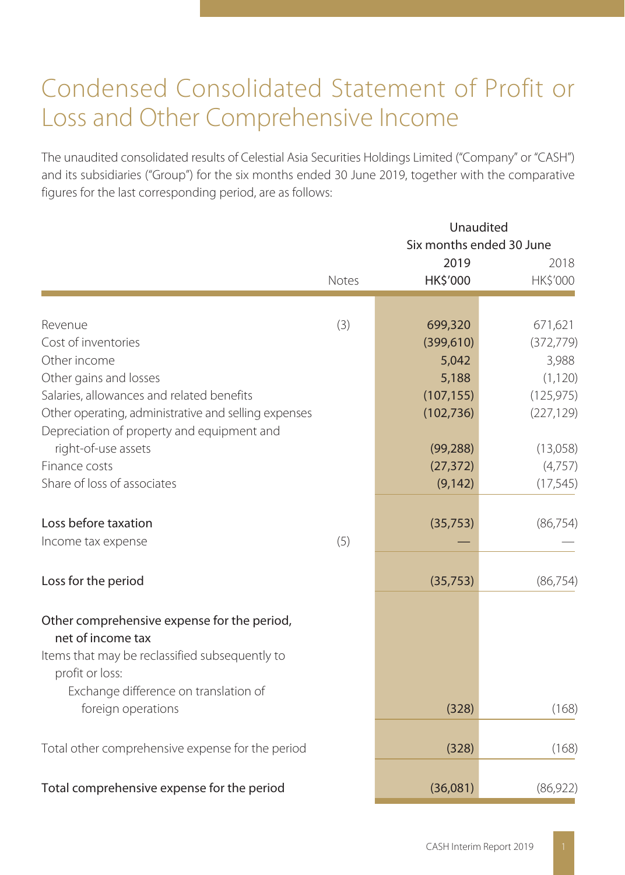# Condensed Consolidated Statement of Profit or Loss and Other Comprehensive Income

The unaudited consolidated results of Celestial Asia Securities Holdings Limited ("Company" or "CASH") and its subsidiaries ("Group") for the six months ended 30 June 2019, together with the comparative figures for the last corresponding period, are as follows:

|                                                                   | Unaudited |                                  |                  |  |  |
|-------------------------------------------------------------------|-----------|----------------------------------|------------------|--|--|
|                                                                   |           | Six months ended 30 June<br>2019 |                  |  |  |
|                                                                   | Notes     | HK\$'000                         | 2018<br>HK\$'000 |  |  |
|                                                                   |           |                                  |                  |  |  |
| Revenue                                                           | (3)       | 699,320                          | 671,621          |  |  |
| Cost of inventories                                               |           | (399,610)                        | (372, 779)       |  |  |
| Other income                                                      |           | 5,042                            | 3,988            |  |  |
| Other gains and losses                                            |           | 5,188                            | (1, 120)         |  |  |
| Salaries, allowances and related benefits                         |           | (107, 155)                       | (125, 975)       |  |  |
| Other operating, administrative and selling expenses              |           | (102, 736)                       | (227, 129)       |  |  |
| Depreciation of property and equipment and                        |           |                                  |                  |  |  |
| right-of-use assets                                               |           | (99, 288)                        | (13,058)         |  |  |
| Finance costs                                                     |           | (27, 372)                        | (4,757)          |  |  |
| Share of loss of associates                                       |           | (9, 142)                         | (17, 545)        |  |  |
| Loss before taxation                                              |           | (35, 753)                        | (86, 754)        |  |  |
| Income tax expense                                                | (5)       |                                  |                  |  |  |
| Loss for the period                                               |           | (35, 753)                        | (86, 754)        |  |  |
| Other comprehensive expense for the period,                       |           |                                  |                  |  |  |
| net of income tax                                                 |           |                                  |                  |  |  |
| Items that may be reclassified subsequently to<br>profit or loss: |           |                                  |                  |  |  |
| Exchange difference on translation of                             |           |                                  |                  |  |  |
| foreign operations                                                |           | (328)                            | (168)            |  |  |
| Total other comprehensive expense for the period                  |           | (328)                            | (168)            |  |  |
|                                                                   |           |                                  |                  |  |  |
| Total comprehensive expense for the period                        |           | (36,081)                         | (86, 922)        |  |  |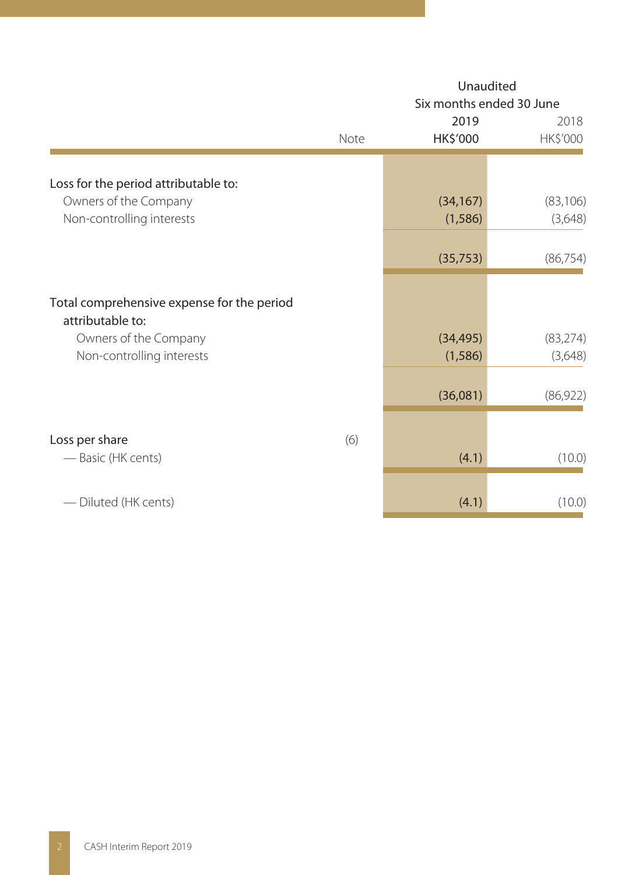|                                                                                            |      | Unaudited<br>Six months ended 30 June |                      |  |  |
|--------------------------------------------------------------------------------------------|------|---------------------------------------|----------------------|--|--|
|                                                                                            | Note | 2019<br>HK\$'000                      | 2018<br>HK\$'000     |  |  |
| Loss for the period attributable to:<br>Owners of the Company<br>Non-controlling interests |      | (34, 167)<br>(1,586)                  | (83, 106)<br>(3,648) |  |  |
|                                                                                            |      | (35, 753)                             | (86, 754)            |  |  |
| Total comprehensive expense for the period<br>attributable to:<br>Owners of the Company    |      | (34, 495)                             | (83, 274)            |  |  |
| Non-controlling interests                                                                  |      | (1,586)<br>(36,081)                   | (3,648)<br>(86,922)  |  |  |
| Loss per share<br>— Basic (HK cents)                                                       | (6)  | (4.1)                                 | (10.0)               |  |  |
| - Diluted (HK cents)                                                                       |      | (4.1)                                 | (10.0)               |  |  |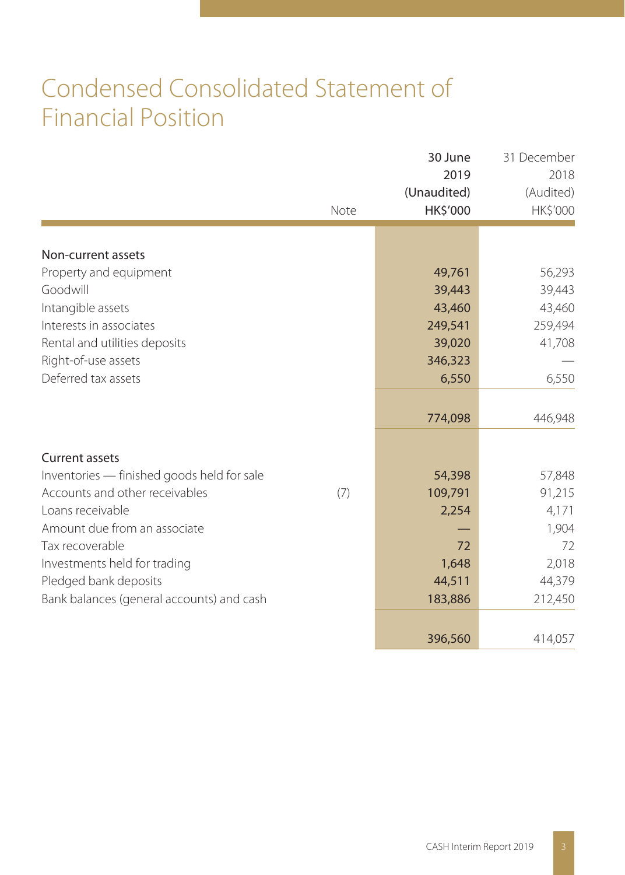# Condensed Consolidated Statement of Financial Position

|                                            | Note | 30 June<br>2019<br>(Unaudited)<br>HK\$'000 | 31 December<br>2018<br>(Audited)<br>HK\$'000 |
|--------------------------------------------|------|--------------------------------------------|----------------------------------------------|
|                                            |      |                                            |                                              |
| Non-current assets                         |      |                                            |                                              |
| Property and equipment                     |      | 49,761                                     | 56,293                                       |
| Goodwill                                   |      | 39,443                                     | 39,443                                       |
| Intangible assets                          |      | 43,460                                     | 43,460                                       |
| Interests in associates                    |      | 249,541                                    | 259,494                                      |
| Rental and utilities deposits              |      | 39,020                                     | 41,708                                       |
| Right-of-use assets                        |      | 346,323                                    |                                              |
| Deferred tax assets                        |      | 6,550                                      | 6,550                                        |
|                                            |      |                                            |                                              |
|                                            |      | 774,098                                    | 446,948                                      |
|                                            |      |                                            |                                              |
| <b>Current assets</b>                      |      |                                            |                                              |
| Inventories - finished goods held for sale |      | 54,398                                     | 57,848                                       |
| Accounts and other receivables             | (7)  | 109,791                                    | 91,215                                       |
| Loans receivable                           |      | 2,254                                      | 4,171                                        |
| Amount due from an associate               |      |                                            | 1,904                                        |
| Tax recoverable                            |      | 72                                         | 72                                           |
| Investments held for trading               |      | 1,648                                      | 2,018                                        |
| Pledged bank deposits                      |      | 44,511                                     | 44,379                                       |
| Bank balances (general accounts) and cash  |      | 183,886                                    | 212,450                                      |
|                                            |      |                                            |                                              |
|                                            |      | 396,560                                    | 414,057                                      |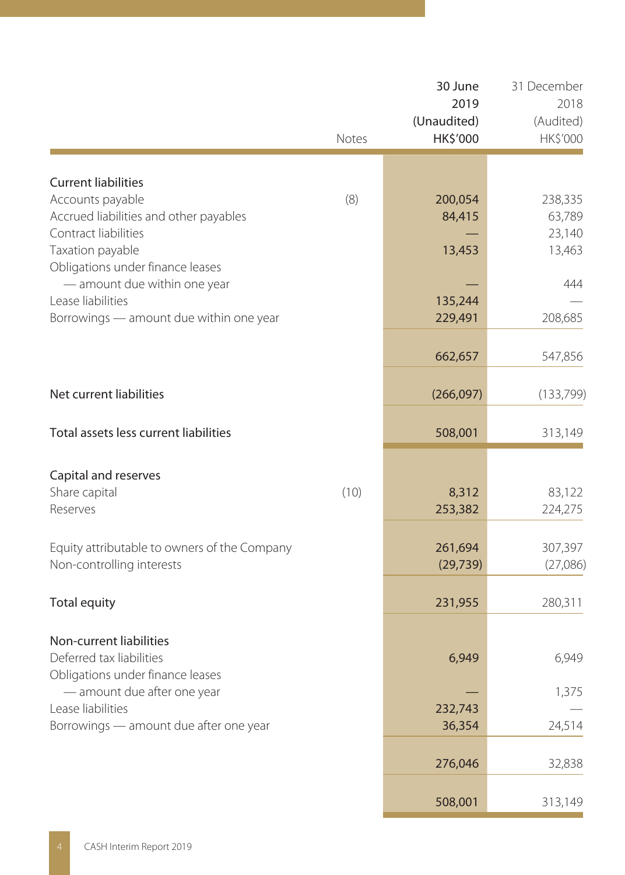|                                                                                                                                  | Notes | 30 June<br>2019<br>(Unaudited)<br>HK\$'000 | 31 December<br>2018<br>(Audited)<br>HK\$'000 |
|----------------------------------------------------------------------------------------------------------------------------------|-------|--------------------------------------------|----------------------------------------------|
| <b>Current liabilities</b>                                                                                                       |       |                                            |                                              |
| Accounts payable<br>Accrued liabilities and other payables<br>Contract liabilities<br>Taxation payable                           | (8)   | 200,054<br>84,415<br>13,453                | 238,335<br>63,789<br>23,140<br>13,463        |
| Obligations under finance leases<br>- amount due within one year<br>Lease liabilities<br>Borrowings — amount due within one year |       | 135,244<br>229,491                         | 444<br>208,685                               |
|                                                                                                                                  |       | 662,657                                    | 547,856                                      |
| Net current liabilities                                                                                                          |       | (266,097)                                  | (133, 799)                                   |
| Total assets less current liabilities                                                                                            |       | 508,001                                    | 313,149                                      |
| Capital and reserves<br>Share capital<br>Reserves                                                                                | (10)  | 8,312<br>253,382                           | 83,122<br>224,275                            |
| Equity attributable to owners of the Company<br>Non-controlling interests                                                        |       | 261,694<br>(29, 739)                       | 307,397<br>(27,086)                          |
| Total equity                                                                                                                     |       | 231,955                                    | 280,311                                      |
| Non-current liabilities<br>Deferred tax liabilities<br>Obligations under finance leases                                          |       | 6,949                                      | 6,949                                        |
| — amount due after one year<br>Lease liabilities                                                                                 |       | 232,743                                    | 1,375                                        |
| Borrowings - amount due after one year                                                                                           |       | 36,354                                     | 24,514                                       |
|                                                                                                                                  |       | 276,046                                    | 32,838                                       |
|                                                                                                                                  |       | 508,001                                    | 313,149                                      |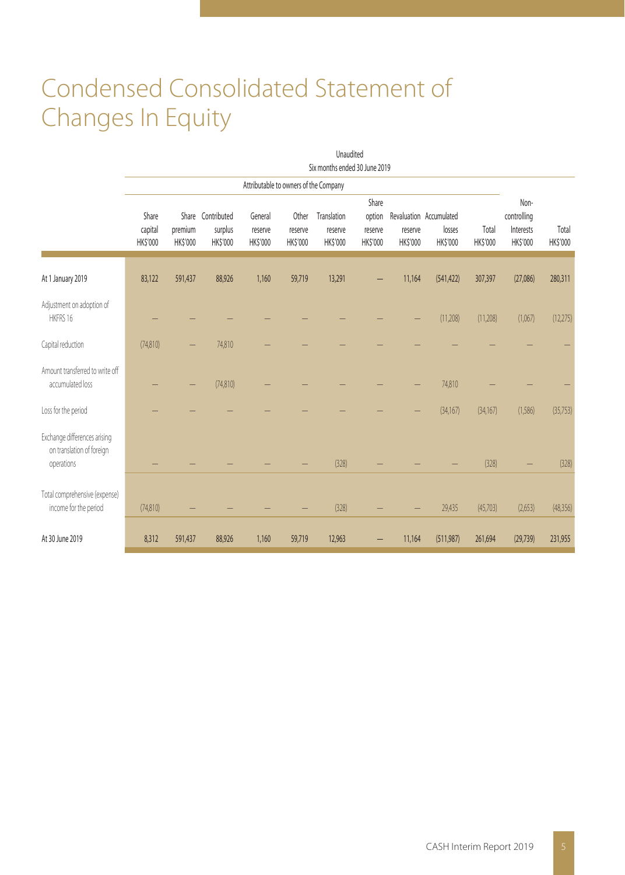# Condensed Consolidated Statement of Changes In Equity

|                                                                         |                              |                            |                                                 |                                |                                       | Unaudited<br>Six months ended 30 June 2019 |                                        |                     |                                               |                          |                                              |                   |
|-------------------------------------------------------------------------|------------------------------|----------------------------|-------------------------------------------------|--------------------------------|---------------------------------------|--------------------------------------------|----------------------------------------|---------------------|-----------------------------------------------|--------------------------|----------------------------------------------|-------------------|
|                                                                         |                              |                            |                                                 |                                | Attributable to owners of the Company |                                            |                                        |                     |                                               |                          |                                              |                   |
|                                                                         | Share<br>capital<br>HK\$'000 | premium<br><b>HK\$'000</b> | Share Contributed<br>surplus<br><b>HK\$'000</b> | General<br>reserve<br>HK\$'000 | Other<br>reserve<br><b>HK\$'000</b>   | Translation<br>reserve<br>HK\$'000         | Share<br>option<br>reserve<br>HK\$'000 | reserve<br>HK\$'000 | Revaluation Accumulated<br>losses<br>HK\$'000 | Total<br><b>HK\$'000</b> | Non-<br>controlling<br>Interests<br>HK\$'000 | Total<br>HK\$'000 |
| At 1 January 2019                                                       | 83,122                       | 591,437                    | 88,926                                          | 1,160                          | 59,719                                | 13,291                                     |                                        | 11,164              | (541, 422)                                    | 307,397                  | (27,086)                                     | 280,311           |
| Adjustment on adoption of<br>HKFRS 16                                   |                              |                            |                                                 |                                |                                       |                                            |                                        |                     | (11, 208)                                     | (11, 208)                | (1,067)                                      | (12, 275)         |
| Capital reduction                                                       | (74, 810)                    |                            | 74,810                                          |                                |                                       |                                            |                                        |                     |                                               |                          |                                              |                   |
| Amount transferred to write off<br>accumulated loss                     |                              |                            | (74,810)                                        |                                |                                       |                                            |                                        |                     | 74,810                                        |                          |                                              |                   |
| Loss for the period                                                     |                              |                            |                                                 |                                |                                       |                                            |                                        |                     | (34, 167)                                     | (34, 167)                | (1,586)                                      | (35, 753)         |
| Exchange differences arising<br>on translation of foreign<br>operations |                              |                            |                                                 |                                |                                       | (328)                                      |                                        |                     |                                               | (328)                    |                                              | (328)             |
| Total comprehensive (expense)<br>income for the period                  | (74, 810)                    |                            |                                                 |                                |                                       | (328)                                      |                                        |                     | 29,435                                        | (45,703)                 | (2,653)                                      | (48, 356)         |
| At 30 June 2019                                                         | 8,312                        | 591,437                    | 88,926                                          | 1,160                          | 59,719                                | 12,963                                     |                                        | 11,164              | (511, 987)                                    | 261,694                  | (29, 739)                                    | 231,955           |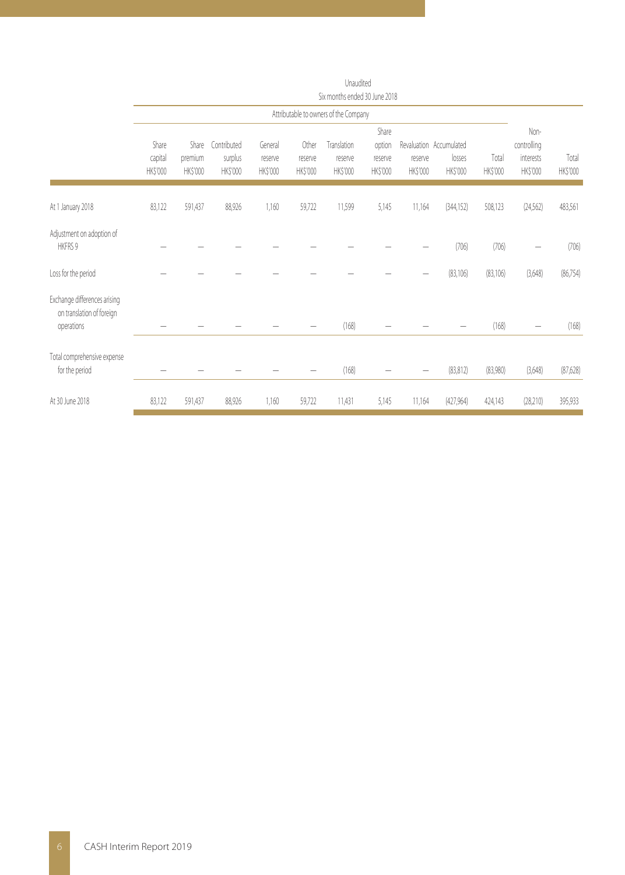|                                                                         | Six months ended 30 June 2018 |                              |                                    |                                |                              |                                       |                                        |                     |                                               |                   |                                              |                   |
|-------------------------------------------------------------------------|-------------------------------|------------------------------|------------------------------------|--------------------------------|------------------------------|---------------------------------------|----------------------------------------|---------------------|-----------------------------------------------|-------------------|----------------------------------------------|-------------------|
|                                                                         |                               |                              |                                    |                                |                              | Attributable to owners of the Company |                                        |                     |                                               |                   |                                              |                   |
|                                                                         | Share<br>capital<br>HK\$'000  | Share<br>premium<br>HK\$'000 | Contributed<br>surplus<br>HK\$'000 | General<br>reserve<br>HK\$'000 | Other<br>reserve<br>HK\$'000 | Translation<br>reserve<br>HK\$'000    | Share<br>option<br>reserve<br>HK\$'000 | reserve<br>HK\$'000 | Revaluation Accumulated<br>losses<br>HK\$'000 | Total<br>HK\$'000 | Non-<br>controlling<br>interests<br>HK\$'000 | Total<br>HK\$'000 |
| At 1 January 2018                                                       | 83,122                        | 591,437                      | 88,926                             | 1,160                          | 59,722                       | 11,599                                | 5,145                                  | 11,164              | (344, 152)                                    | 508,123           | (24, 562)                                    | 483,561           |
| Adjustment on adoption of<br><b>HKFRS 9</b>                             |                               |                              |                                    |                                |                              |                                       |                                        |                     | (706)                                         | (706)             |                                              | (706)             |
| Loss for the period                                                     |                               |                              |                                    |                                |                              |                                       |                                        |                     | (83, 106)                                     | (83, 106)         | (3,648)                                      | (86, 754)         |
| Exchange differences arising<br>on translation of foreign<br>operations |                               |                              |                                    |                                |                              | (168)                                 |                                        |                     |                                               | (168)             |                                              | (168)             |
| Total comprehensive expense<br>for the period                           |                               |                              |                                    |                                |                              | (168)                                 |                                        |                     | (83, 812)                                     | (83,980)          | (3,648)                                      | (87,628)          |
| At 30 June 2018                                                         | 83,122                        | 591,437                      | 88,926                             | 1,160                          | 59,722                       | 11,431                                | 5,145                                  | 11,164              | (427,964)                                     | 424,143           | (28, 210)                                    | 395,933           |

Unaudited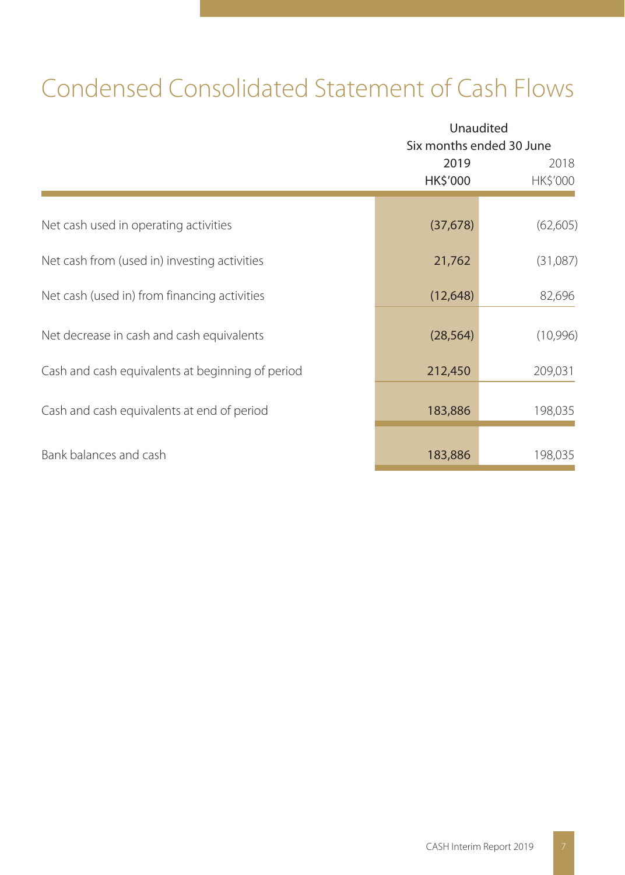# Condensed Consolidated Statement of Cash Flows

|                                                  |                  | Unaudited<br>Six months ended 30 June |  |  |  |
|--------------------------------------------------|------------------|---------------------------------------|--|--|--|
|                                                  | 2019<br>HK\$'000 | 2018<br>HK\$'000                      |  |  |  |
| Net cash used in operating activities            | (37, 678)        | (62, 605)                             |  |  |  |
| Net cash from (used in) investing activities     | 21,762           | (31,087)                              |  |  |  |
| Net cash (used in) from financing activities     | (12, 648)        | 82,696                                |  |  |  |
| Net decrease in cash and cash equivalents        | (28, 564)        | (10,996)                              |  |  |  |
| Cash and cash equivalents at beginning of period | 212,450          | 209,031                               |  |  |  |
| Cash and cash equivalents at end of period       | 183,886          | 198,035                               |  |  |  |
| Bank balances and cash                           | 183,886          | 198,035                               |  |  |  |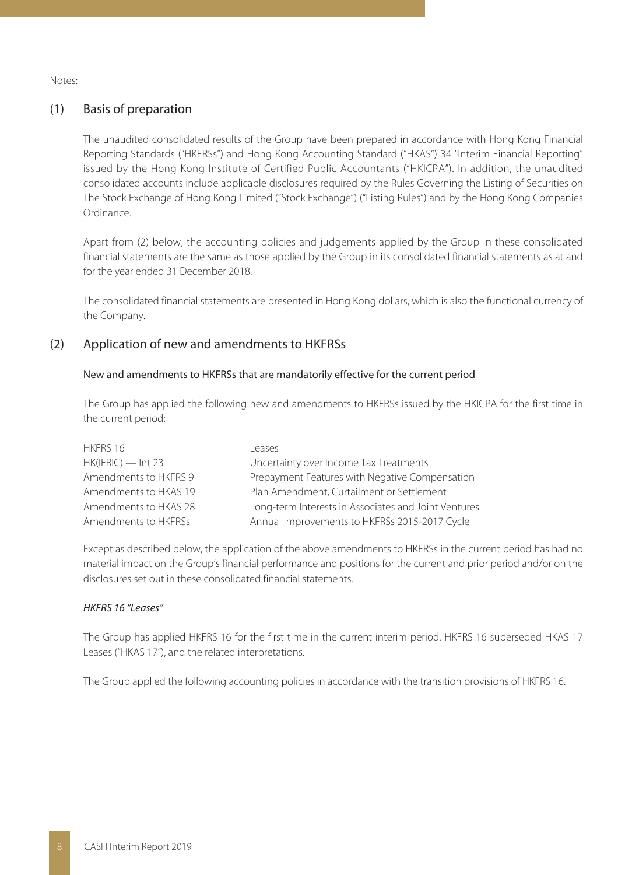Notes:

#### (1) Basis of preparation

The unaudited consolidated results of the Group have been prepared in accordance with Hong Kong Financial Reporting Standards ("HKFRSs") and Hong Kong Accounting Standard ("HKAS") 34 "Interim Financial Reporting" issued by the Hong Kong Institute of Certified Public Accountants ("HKICPA"). In addition, the unaudited consolidated accounts include applicable disclosures required by the Rules Governing the Listing of Securities on The Stock Exchange of Hong Kong Limited ("Stock Exchange") ("Listing Rules") and by the Hong Kong Companies Ordinance.

Apart from (2) below, the accounting policies and judgements applied by the Group in these consolidated financial statements are the same as those applied by the Group in its consolidated financial statements as at and for the year ended 31 December 2018.

The consolidated financial statements are presented in Hong Kong dollars, which is also the functional currency of the Company.

#### (2) Application of new and amendments to HKFRSs

#### New and amendments to HKFRSs that are mandatorily effective for the current period

The Group has applied the following new and amendments to HKFRSs issued by the HKICPA for the first time in the current period:

| HKFRS 16              | l eases                                              |
|-----------------------|------------------------------------------------------|
| $HK(IFRIC)$ - Int 23  | Uncertainty over Income Tax Treatments               |
| Amendments to HKFRS 9 | Prepayment Features with Negative Compensation       |
| Amendments to HKAS 19 | Plan Amendment, Curtailment or Settlement            |
| Amendments to HKAS 28 | Long-term Interests in Associates and Joint Ventures |
| Amendments to HKFRSs  | Annual Improvements to HKFRSs 2015-2017 Cycle        |

Except as described below, the application of the above amendments to HKFRSs in the current period has had no material impact on the Group's financial performance and positions for the current and prior period and/or on the disclosures set out in these consolidated financial statements.

#### HKFRS 16 "Leases"

The Group has applied HKFRS 16 for the first time in the current interim period. HKFRS 16 superseded HKAS 17 Leases ("HKAS 17"), and the related interpretations.

The Group applied the following accounting policies in accordance with the transition provisions of HKFRS 16.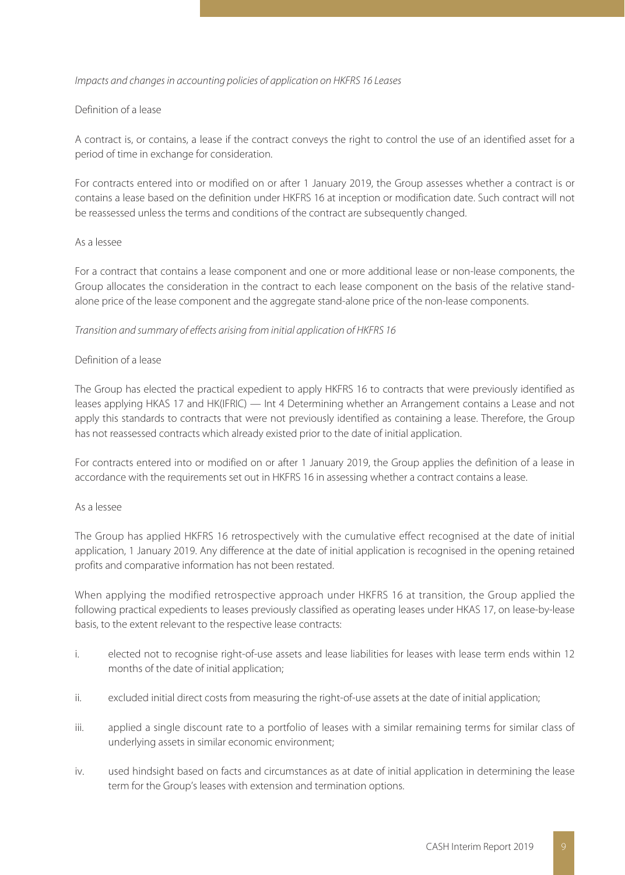#### Impacts and changes in accounting policies of application on HKFRS 16 Leases

#### Definition of a lease

A contract is, or contains, a lease if the contract conveys the right to control the use of an identified asset for a period of time in exchange for consideration.

For contracts entered into or modified on or after 1 January 2019, the Group assesses whether a contract is or contains a lease based on the definition under HKFRS 16 at inception or modification date. Such contract will not be reassessed unless the terms and conditions of the contract are subsequently changed.

#### As a lessee

For a contract that contains a lease component and one or more additional lease or non-lease components, the Group allocates the consideration in the contract to each lease component on the basis of the relative standalone price of the lease component and the aggregate stand-alone price of the non-lease components.

#### Transition and summary of effects arising from initial application of HKFRS 16

#### Definition of a lease

The Group has elected the practical expedient to apply HKFRS 16 to contracts that were previously identified as leases applying HKAS 17 and HK(IFRIC) — Int 4 Determining whether an Arrangement contains a Lease and not apply this standards to contracts that were not previously identified as containing a lease. Therefore, the Group has not reassessed contracts which already existed prior to the date of initial application.

For contracts entered into or modified on or after 1 January 2019, the Group applies the definition of a lease in accordance with the requirements set out in HKFRS 16 in assessing whether a contract contains a lease.

#### As a lessee

The Group has applied HKFRS 16 retrospectively with the cumulative effect recognised at the date of initial application, 1 January 2019. Any difference at the date of initial application is recognised in the opening retained profits and comparative information has not been restated.

When applying the modified retrospective approach under HKFRS 16 at transition, the Group applied the following practical expedients to leases previously classified as operating leases under HKAS 17, on lease-by-lease basis, to the extent relevant to the respective lease contracts:

- i. elected not to recognise right-of-use assets and lease liabilities for leases with lease term ends within 12 months of the date of initial application;
- ii. excluded initial direct costs from measuring the right-of-use assets at the date of initial application;
- iii. applied a single discount rate to a portfolio of leases with a similar remaining terms for similar class of underlying assets in similar economic environment;
- iv. used hindsight based on facts and circumstances as at date of initial application in determining the lease term for the Group's leases with extension and termination options.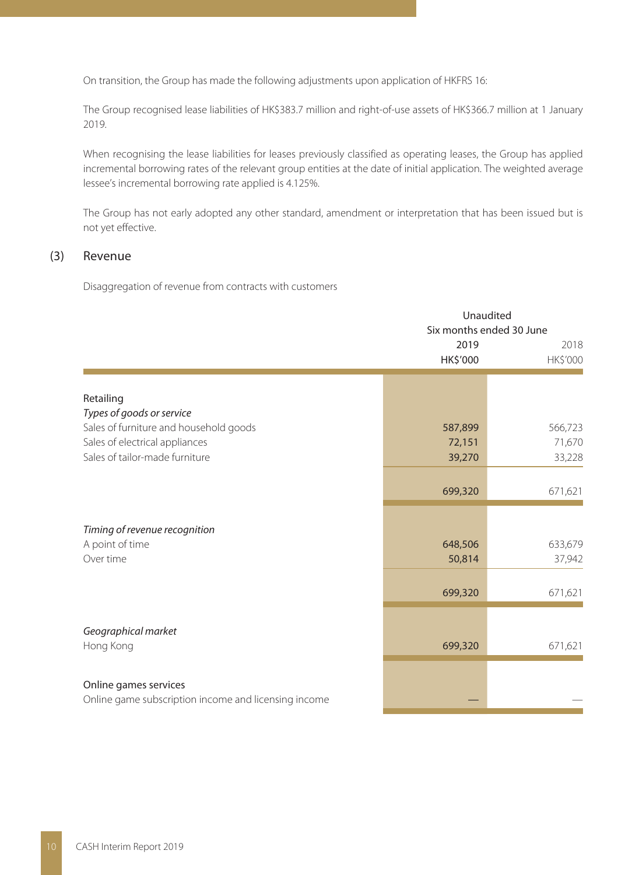On transition, the Group has made the following adjustments upon application of HKFRS 16:

The Group recognised lease liabilities of HK\$383.7 million and right-of-use assets of HK\$366.7 million at 1 January 2019.

When recognising the lease liabilities for leases previously classified as operating leases, the Group has applied incremental borrowing rates of the relevant group entities at the date of initial application. The weighted average lessee's incremental borrowing rate applied is 4.125%.

The Group has not early adopted any other standard, amendment or interpretation that has been issued but is not yet effective.

#### (3) Revenue

Disaggregation of revenue from contracts with customers

|                                                                               |          | Unaudited<br>Six months ended 30 June |  |  |  |
|-------------------------------------------------------------------------------|----------|---------------------------------------|--|--|--|
|                                                                               | 2019     | 2018                                  |  |  |  |
|                                                                               | HK\$'000 | HK\$'000                              |  |  |  |
|                                                                               |          |                                       |  |  |  |
|                                                                               |          |                                       |  |  |  |
| Retailing                                                                     |          |                                       |  |  |  |
| Types of goods or service                                                     |          |                                       |  |  |  |
| Sales of furniture and household goods                                        | 587,899  | 566,723                               |  |  |  |
| Sales of electrical appliances                                                | 72,151   | 71,670                                |  |  |  |
| Sales of tailor-made furniture                                                | 39,270   | 33,228                                |  |  |  |
|                                                                               |          |                                       |  |  |  |
|                                                                               | 699,320  | 671,621                               |  |  |  |
|                                                                               |          |                                       |  |  |  |
| Timing of revenue recognition                                                 |          |                                       |  |  |  |
| A point of time                                                               | 648,506  | 633,679                               |  |  |  |
| Over time                                                                     | 50,814   | 37,942                                |  |  |  |
|                                                                               |          |                                       |  |  |  |
|                                                                               | 699,320  | 671,621                               |  |  |  |
|                                                                               |          |                                       |  |  |  |
| Geographical market                                                           |          |                                       |  |  |  |
| Hong Kong                                                                     | 699,320  | 671,621                               |  |  |  |
|                                                                               |          |                                       |  |  |  |
|                                                                               |          |                                       |  |  |  |
| Online games services<br>Online game subscription income and licensing income |          |                                       |  |  |  |
|                                                                               |          |                                       |  |  |  |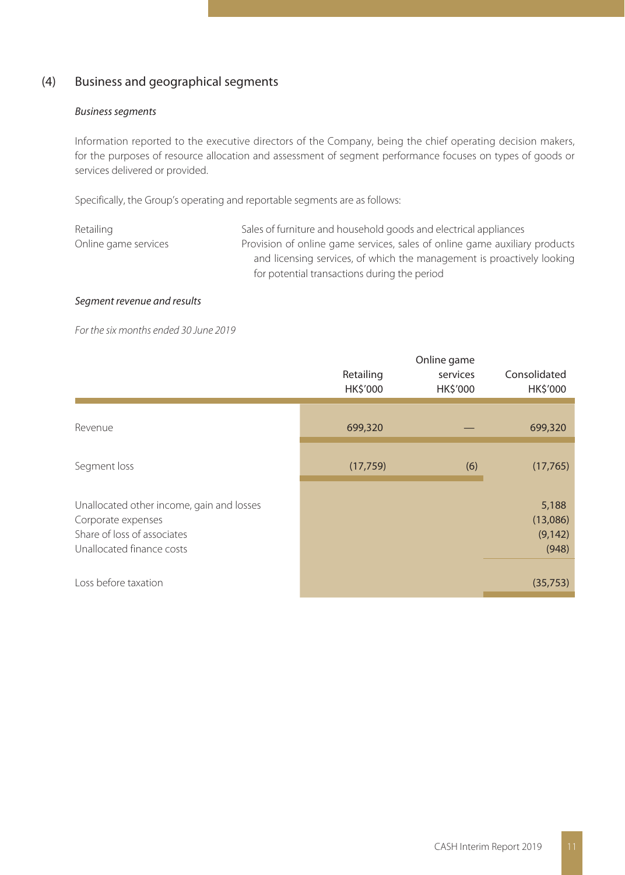## (4) Business and geographical segments

#### Business segments

Information reported to the executive directors of the Company, being the chief operating decision makers, for the purposes of resource allocation and assessment of segment performance focuses on types of goods or services delivered or provided.

Specifically, the Group's operating and reportable segments are as follows:

| Retailing            | Sales of furniture and household goods and electrical appliances           |
|----------------------|----------------------------------------------------------------------------|
| Online game services | Provision of online game services, sales of online game auxiliary products |
|                      | and licensing services, of which the management is proactively looking     |
|                      | for potential transactions during the period                               |

#### Segment revenue and results

For the six months ended 30 June 2019

|                                                                                                                             | Retailing<br>HK\$'000 | Online game<br>services<br>HK\$'000 | Consolidated<br>HK\$'000               |
|-----------------------------------------------------------------------------------------------------------------------------|-----------------------|-------------------------------------|----------------------------------------|
| Revenue                                                                                                                     | 699,320               |                                     | 699,320                                |
| Segment loss                                                                                                                | (17, 759)             | (6)                                 | (17,765)                               |
| Unallocated other income, gain and losses<br>Corporate expenses<br>Share of loss of associates<br>Unallocated finance costs |                       |                                     | 5,188<br>(13,086)<br>(9, 142)<br>(948) |
| Loss before taxation                                                                                                        |                       |                                     | (35,753)                               |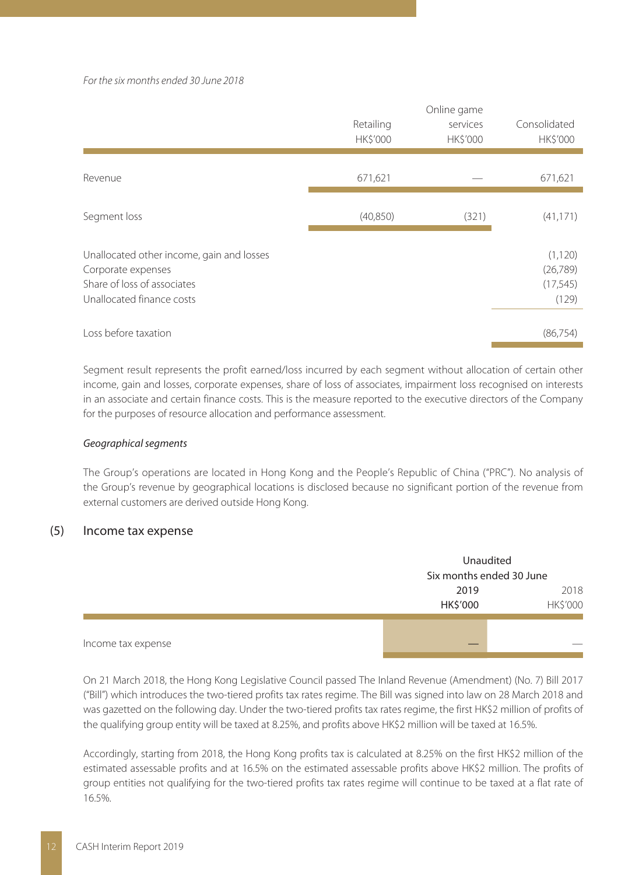For the six months ended 30 June 2018

|                                                                                                                             | Retailing<br>HK\$'000 | Online game<br>services<br><b>HK\$'000</b> | Consolidated<br><b>HK\$'000</b>             |
|-----------------------------------------------------------------------------------------------------------------------------|-----------------------|--------------------------------------------|---------------------------------------------|
| Revenue                                                                                                                     | 671,621               |                                            | 671,621                                     |
| Segment loss                                                                                                                | (40, 850)             | (321)                                      | (41, 171)                                   |
| Unallocated other income, gain and losses<br>Corporate expenses<br>Share of loss of associates<br>Unallocated finance costs |                       |                                            | (1, 120)<br>(26, 789)<br>(17, 545)<br>(129) |
| Loss before taxation                                                                                                        |                       |                                            | (86, 754)                                   |

Segment result represents the profit earned/loss incurred by each segment without allocation of certain other income, gain and losses, corporate expenses, share of loss of associates, impairment loss recognised on interests in an associate and certain finance costs. This is the measure reported to the executive directors of the Company for the purposes of resource allocation and performance assessment.

#### Geographical segments

The Group's operations are located in Hong Kong and the People's Republic of China ("PRC"). No analysis of the Group's revenue by geographical locations is disclosed because no significant portion of the revenue from external customers are derived outside Hong Kong.

#### (5) Income tax expense

|                    | Unaudited<br>Six months ended 30 June |                  |  |
|--------------------|---------------------------------------|------------------|--|
|                    | 2019<br>HK\$'000                      | 2018<br>HK\$'000 |  |
| Income tax expense |                                       | _                |  |

On 21 March 2018, the Hong Kong Legislative Council passed The Inland Revenue (Amendment) (No. 7) Bill 2017 ("Bill") which introduces the two-tiered profits tax rates regime. The Bill was signed into law on 28 March 2018 and was gazetted on the following day. Under the two-tiered profits tax rates regime, the first HK\$2 million of profits of the qualifying group entity will be taxed at 8.25%, and profits above HK\$2 million will be taxed at 16.5%.

Accordingly, starting from 2018, the Hong Kong profits tax is calculated at 8.25% on the first HK\$2 million of the estimated assessable profits and at 16.5% on the estimated assessable profits above HK\$2 million. The profits of group entities not qualifying for the two-tiered profits tax rates regime will continue to be taxed at a flat rate of 16.5%.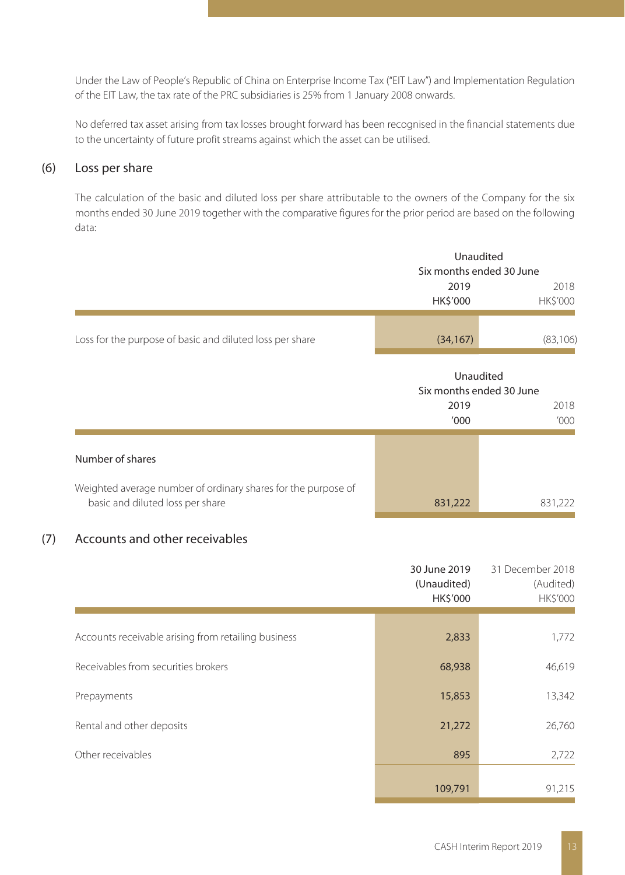Under the Law of People's Republic of China on Enterprise Income Tax ("EIT Law") and Implementation Regulation of the EIT Law, the tax rate of the PRC subsidiaries is 25% from 1 January 2008 onwards.

No deferred tax asset arising from tax losses brought forward has been recognised in the financial statements due to the uncertainty of future profit streams against which the asset can be utilised.

### (6) Loss per share

The calculation of the basic and diluted loss per share attributable to the owners of the Company for the six months ended 30 June 2019 together with the comparative figures for the prior period are based on the following data:

|                                                                                                   | Unaudited<br>Six months ended 30 June |                                                       |  |
|---------------------------------------------------------------------------------------------------|---------------------------------------|-------------------------------------------------------|--|
|                                                                                                   | 2019<br><b>HK\$'000</b>               | 2018<br>HK\$'000                                      |  |
| Loss for the purpose of basic and diluted loss per share                                          | (34, 167)                             | (83, 106)                                             |  |
|                                                                                                   | 2019<br>'000                          | Unaudited<br>Six months ended 30 June<br>2018<br>'000 |  |
| Number of shares                                                                                  |                                       |                                                       |  |
| Weighted average number of ordinary shares for the purpose of<br>basic and diluted loss per share | 831,222                               | 831,222                                               |  |

### (7) Accounts and other receivables

|                                                     | 30 June 2019<br>(Unaudited)<br>HK\$'000 | 31 December 2018<br>(Audited)<br>HK\$'000 |
|-----------------------------------------------------|-----------------------------------------|-------------------------------------------|
| Accounts receivable arising from retailing business | 2,833                                   | 1,772                                     |
| Receivables from securities brokers                 | 68,938                                  | 46,619                                    |
| Prepayments                                         | 15,853                                  | 13,342                                    |
| Rental and other deposits                           | 21,272                                  | 26,760                                    |
| Other receivables                                   | 895                                     | 2,722                                     |
|                                                     | 109,791                                 | 91,215                                    |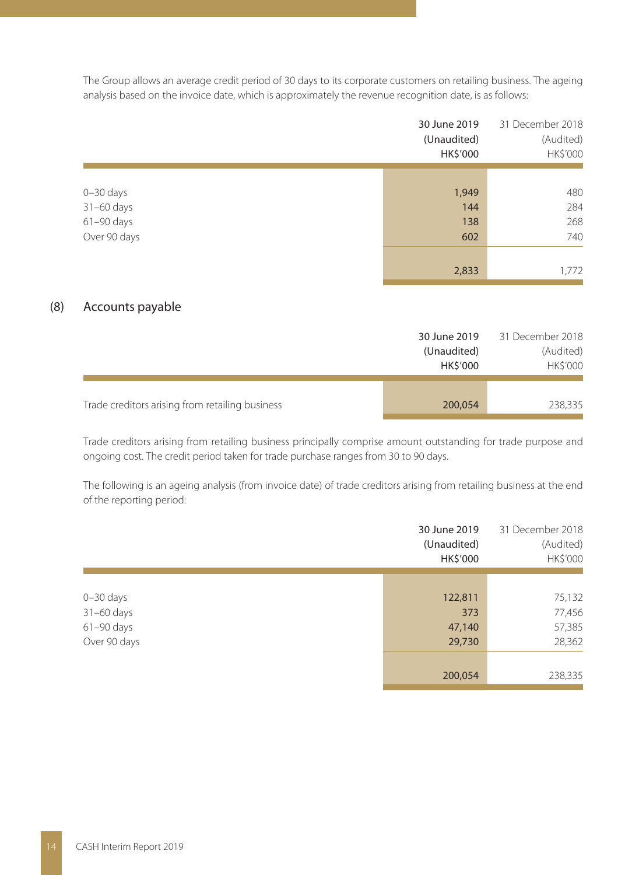The Group allows an average credit period of 30 days to its corporate customers on retailing business. The ageing analysis based on the invoice date, which is approximately the revenue recognition date, is as follows:

|               | 30 June 2019<br>(Unaudited)<br>HK\$'000 | 31 December 2018<br>(Audited)<br>HK\$'000 |
|---------------|-----------------------------------------|-------------------------------------------|
|               |                                         |                                           |
| $0 - 30$ days | 1,949                                   | 480                                       |
| 31-60 days    | 144                                     | 284                                       |
| 61-90 days    | 138                                     | 268                                       |
| Over 90 days  | 602                                     | 740                                       |
|               |                                         |                                           |
|               | 2,833                                   | 1,772                                     |

#### (8) Accounts payable

|                                                 | 30 June 2019<br>(Unaudited)<br><b>HKS'000</b> | 31 December 2018<br>(Audited)<br><b>HK\$'000</b> |
|-------------------------------------------------|-----------------------------------------------|--------------------------------------------------|
| Trade creditors arising from retailing business | 200,054                                       | 238,335                                          |

Trade creditors arising from retailing business principally comprise amount outstanding for trade purpose and ongoing cost. The credit period taken for trade purchase ranges from 30 to 90 days.

The following is an ageing analysis (from invoice date) of trade creditors arising from retailing business at the end of the reporting period:

|               | 30 June 2019<br>(Unaudited)<br>HK\$'000 | 31 December 2018<br>(Audited)<br>HK\$'000 |
|---------------|-----------------------------------------|-------------------------------------------|
|               |                                         |                                           |
| $0 - 30$ days | 122,811                                 | 75,132                                    |
| $31-60$ days  | 373                                     | 77,456                                    |
| $61-90$ days  | 47,140                                  | 57,385                                    |
| Over 90 days  | 29,730                                  | 28,362                                    |
|               |                                         |                                           |
|               | 200,054                                 | 238,335                                   |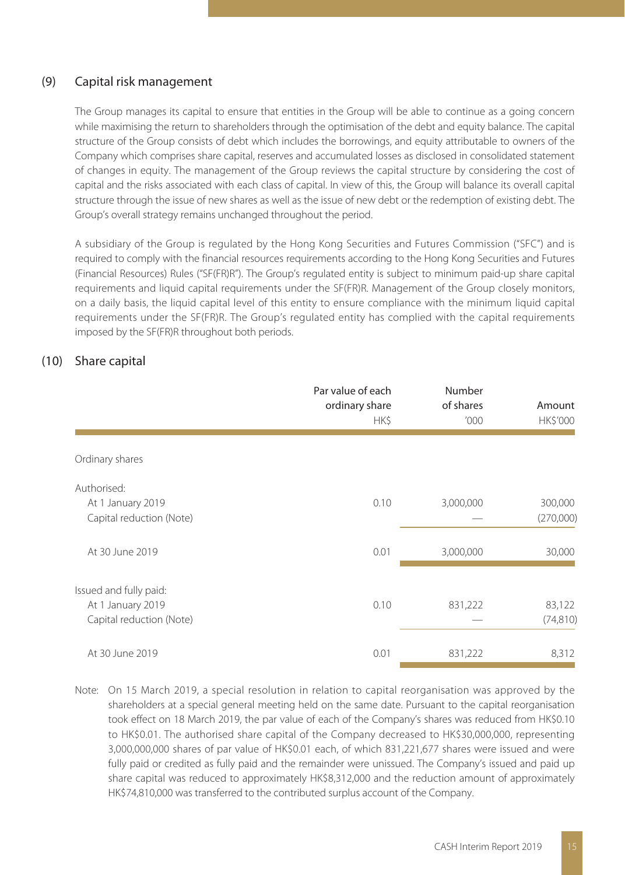#### (9) Capital risk management

The Group manages its capital to ensure that entities in the Group will be able to continue as a going concern while maximising the return to shareholders through the optimisation of the debt and equity balance. The capital structure of the Group consists of debt which includes the borrowings, and equity attributable to owners of the Company which comprises share capital, reserves and accumulated losses as disclosed in consolidated statement of changes in equity. The management of the Group reviews the capital structure by considering the cost of capital and the risks associated with each class of capital. In view of this, the Group will balance its overall capital structure through the issue of new shares as well as the issue of new debt or the redemption of existing debt. The Group's overall strategy remains unchanged throughout the period.

A subsidiary of the Group is regulated by the Hong Kong Securities and Futures Commission ("SFC") and is required to comply with the financial resources requirements according to the Hong Kong Securities and Futures (Financial Resources) Rules ("SF(FR)R"). The Group's regulated entity is subject to minimum paid-up share capital requirements and liquid capital requirements under the SF(FR)R. Management of the Group closely monitors, on a daily basis, the liquid capital level of this entity to ensure compliance with the minimum liquid capital requirements under the SF(FR)R. The Group's regulated entity has complied with the capital requirements imposed by the SF(FR)R throughout both periods.

#### (10) Share capital

|                                                                         | Par value of each<br>ordinary share<br>HK\$ | Number<br>of shares<br>'000 | Amount<br>HK\$'000   |
|-------------------------------------------------------------------------|---------------------------------------------|-----------------------------|----------------------|
| Ordinary shares                                                         |                                             |                             |                      |
| Authorised:<br>At 1 January 2019<br>Capital reduction (Note)            | 0.10                                        | 3,000,000                   | 300,000<br>(270,000) |
| At 30 June 2019                                                         | 0.01                                        | 3,000,000                   | 30,000               |
| Issued and fully paid:<br>At 1 January 2019<br>Capital reduction (Note) | 0.10                                        | 831,222                     | 83,122<br>(74, 810)  |
| At 30 June 2019                                                         | 0.01                                        | 831,222                     | 8,312                |

Note: On 15 March 2019, a special resolution in relation to capital reorganisation was approved by the shareholders at a special general meeting held on the same date. Pursuant to the capital reorganisation took effect on 18 March 2019, the par value of each of the Company's shares was reduced from HK\$0.10 to HK\$0.01. The authorised share capital of the Company decreased to HK\$30,000,000, representing 3,000,000,000 shares of par value of HK\$0.01 each, of which 831,221,677 shares were issued and were fully paid or credited as fully paid and the remainder were unissued. The Company's issued and paid up share capital was reduced to approximately HK\$8,312,000 and the reduction amount of approximately HK\$74,810,000 was transferred to the contributed surplus account of the Company.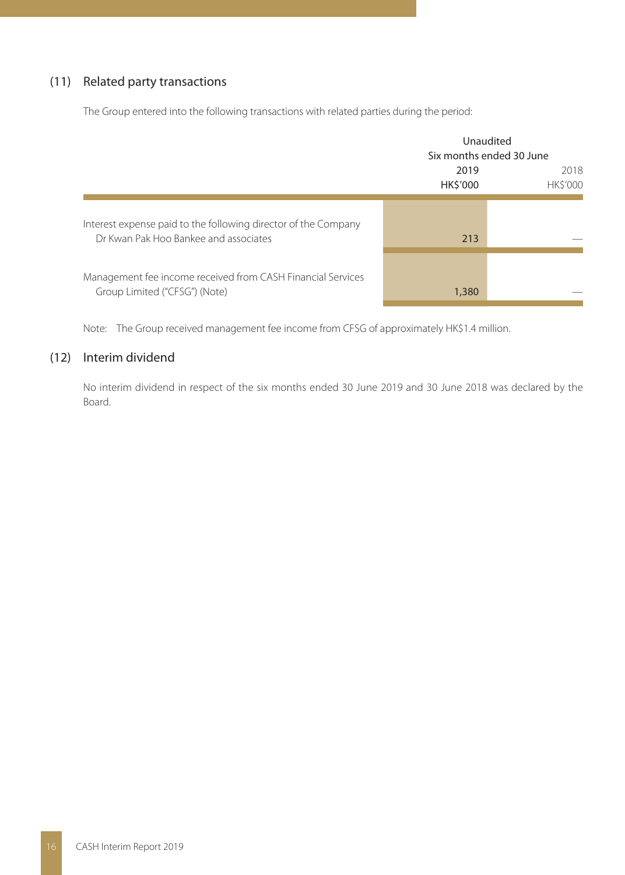### (11) Related party transactions

The Group entered into the following transactions with related parties during the period:

|                                                                                                         | Unaudited<br>Six months ended 30 June |                         |  |
|---------------------------------------------------------------------------------------------------------|---------------------------------------|-------------------------|--|
|                                                                                                         | 2019<br><b>HK\$'000</b>               | 2018<br><b>HK\$'000</b> |  |
| Interest expense paid to the following director of the Company<br>Dr Kwan Pak Hoo Bankee and associates | 213                                   |                         |  |
| Management fee income received from CASH Financial Services<br>Group Limited ("CFSG") (Note)            | 1,380                                 |                         |  |

Note: The Group received management fee income from CFSG of approximately HK\$1.4 million.

#### (12) Interim dividend

No interim dividend in respect of the six months ended 30 June 2019 and 30 June 2018 was declared by the Board.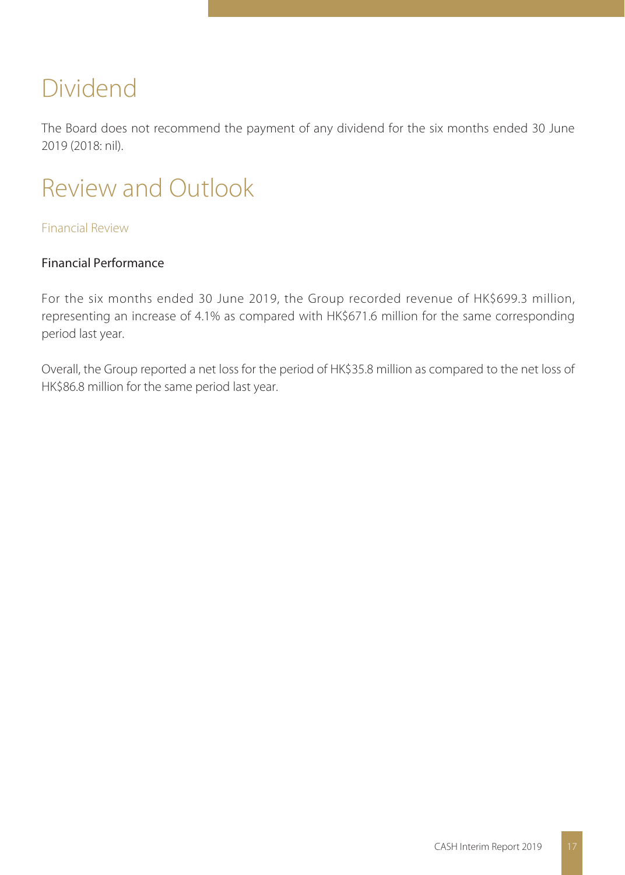# Dividend

The Board does not recommend the payment of any dividend for the six months ended 30 June 2019 (2018: nil).

# Review and Outlook

### Financial Review

## Financial Performance

For the six months ended 30 June 2019, the Group recorded revenue of HK\$699.3 million, representing an increase of 4.1% as compared with HK\$671.6 million for the same corresponding period last year.

Overall, the Group reported a net loss for the period of HK\$35.8 million as compared to the net loss of HK\$86.8 million for the same period last year.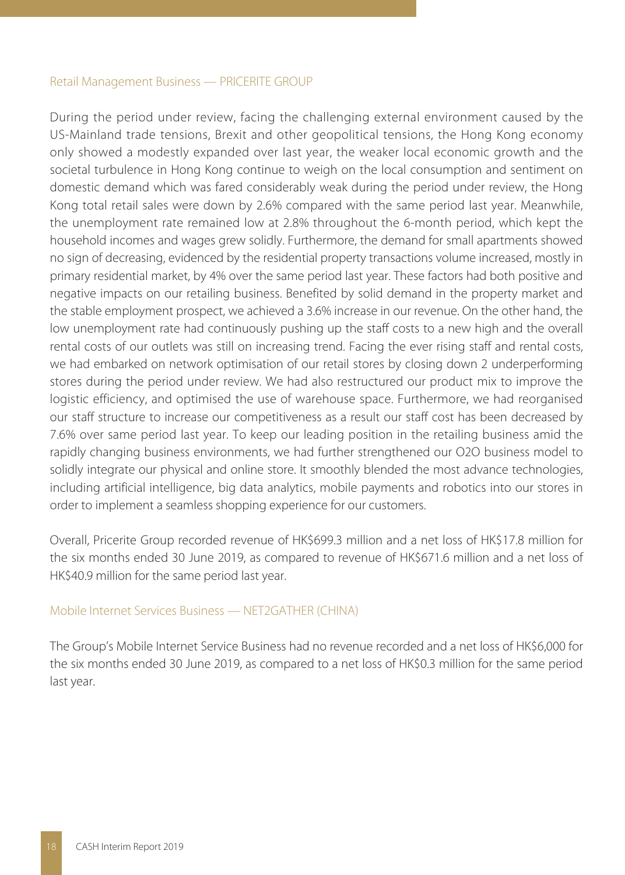#### Retail Management Business — PRICERITE GROUP

During the period under review, facing the challenging external environment caused by the US-Mainland trade tensions, Brexit and other geopolitical tensions, the Hong Kong economy only showed a modestly expanded over last year, the weaker local economic growth and the societal turbulence in Hong Kong continue to weigh on the local consumption and sentiment on domestic demand which was fared considerably weak during the period under review, the Hong Kong total retail sales were down by 2.6% compared with the same period last year. Meanwhile, the unemployment rate remained low at 2.8% throughout the 6-month period, which kept the household incomes and wages grew solidly. Furthermore, the demand for small apartments showed no sign of decreasing, evidenced by the residential property transactions volume increased, mostly in primary residential market, by 4% over the same period last year. These factors had both positive and negative impacts on our retailing business. Benefited by solid demand in the property market and the stable employment prospect, we achieved a 3.6% increase in our revenue. On the other hand, the low unemployment rate had continuously pushing up the staff costs to a new high and the overall rental costs of our outlets was still on increasing trend. Facing the ever rising staff and rental costs, we had embarked on network optimisation of our retail stores by closing down 2 underperforming stores during the period under review. We had also restructured our product mix to improve the logistic efficiency, and optimised the use of warehouse space. Furthermore, we had reorganised our staff structure to increase our competitiveness as a result our staff cost has been decreased by 7.6% over same period last year. To keep our leading position in the retailing business amid the rapidly changing business environments, we had further strengthened our O2O business model to solidly integrate our physical and online store. It smoothly blended the most advance technologies, including artificial intelligence, big data analytics, mobile payments and robotics into our stores in order to implement a seamless shopping experience for our customers.

Overall, Pricerite Group recorded revenue of HK\$699.3 million and a net loss of HK\$17.8 million for the six months ended 30 June 2019, as compared to revenue of HK\$671.6 million and a net loss of HK\$40.9 million for the same period last year.

#### Mobile Internet Services Business — NET2GATHER (CHINA)

The Group's Mobile Internet Service Business had no revenue recorded and a net loss of HK\$6,000 for the six months ended 30 June 2019, as compared to a net loss of HK\$0.3 million for the same period last year.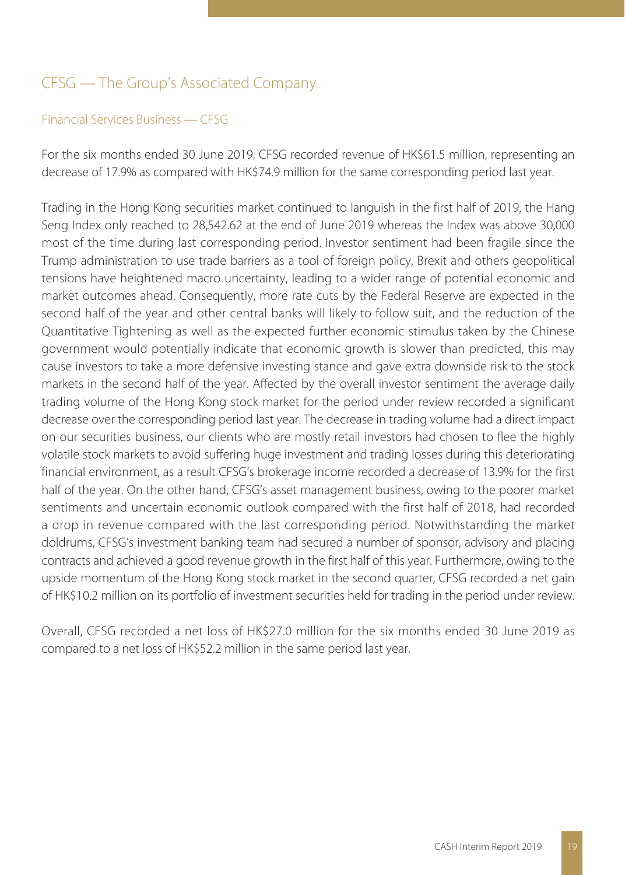# CFSG — The Group's Associated Company

### Financial Services Business — CFSG

For the six months ended 30 June 2019, CFSG recorded revenue of HK\$61.5 million, representing an decrease of 17.9% as compared with HK\$74.9 million for the same corresponding period last year.

Trading in the Hong Kong securities market continued to languish in the first half of 2019, the Hang Seng Index only reached to 28,542.62 at the end of June 2019 whereas the Index was above 30,000 most of the time during last corresponding period. Investor sentiment had been fragile since the Trump administration to use trade barriers as a tool of foreign policy, Brexit and others geopolitical tensions have heightened macro uncertainty, leading to a wider range of potential economic and market outcomes ahead. Consequently, more rate cuts by the Federal Reserve are expected in the second half of the year and other central banks will likely to follow suit, and the reduction of the Quantitative Tightening as well as the expected further economic stimulus taken by the Chinese government would potentially indicate that economic growth is slower than predicted, this may cause investors to take a more defensive investing stance and gave extra downside risk to the stock markets in the second half of the year. Affected by the overall investor sentiment the average daily trading volume of the Hong Kong stock market for the period under review recorded a significant decrease over the corresponding period last year. The decrease in trading volume had a direct impact on our securities business, our clients who are mostly retail investors had chosen to flee the highly volatile stock markets to avoid suffering huge investment and trading losses during this deteriorating financial environment, as a result CFSG's brokerage income recorded a decrease of 13.9% for the first half of the year. On the other hand, CFSG's asset management business, owing to the poorer market sentiments and uncertain economic outlook compared with the first half of 2018, had recorded a drop in revenue compared with the last corresponding period. Notwithstanding the market doldrums, CFSG's investment banking team had secured a number of sponsor, advisory and placing contracts and achieved a good revenue growth in the first half of this year. Furthermore, owing to the upside momentum of the Hong Kong stock market in the second quarter, CFSG recorded a net gain of HK\$10.2 million on its portfolio of investment securities held for trading in the period under review.

Overall, CFSG recorded a net loss of HK\$27.0 million for the six months ended 30 June 2019 as compared to a net loss of HK\$52.2 million in the same period last year.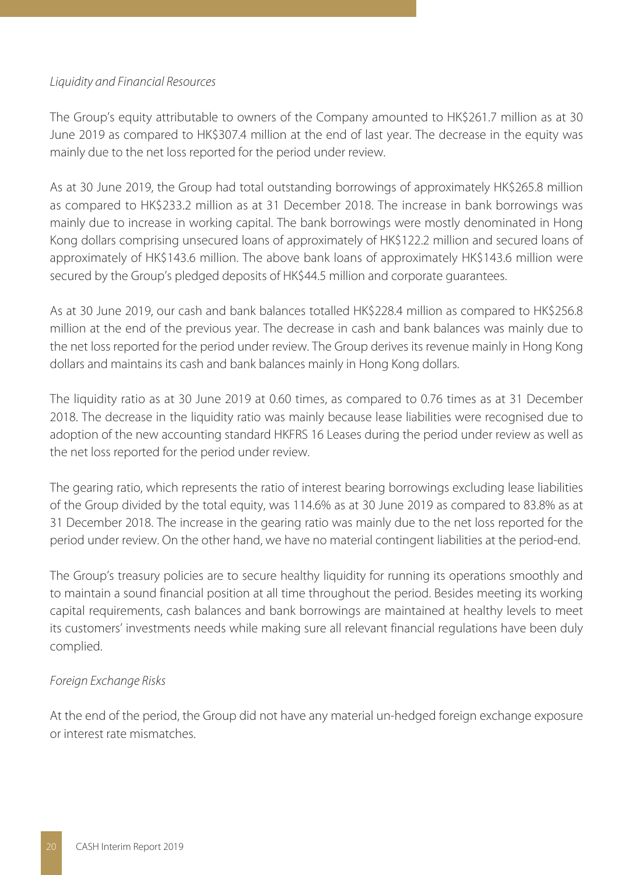#### Liquidity and Financial Resources

The Group's equity attributable to owners of the Company amounted to HK\$261.7 million as at 30 June 2019 as compared to HK\$307.4 million at the end of last year. The decrease in the equity was mainly due to the net loss reported for the period under review.

As at 30 June 2019, the Group had total outstanding borrowings of approximately HK\$265.8 million as compared to HK\$233.2 million as at 31 December 2018. The increase in bank borrowings was mainly due to increase in working capital. The bank borrowings were mostly denominated in Hong Kong dollars comprising unsecured loans of approximately of HK\$122.2 million and secured loans of approximately of HK\$143.6 million. The above bank loans of approximately HK\$143.6 million were secured by the Group's pledged deposits of HK\$44.5 million and corporate guarantees.

As at 30 June 2019, our cash and bank balances totalled HK\$228.4 million as compared to HK\$256.8 million at the end of the previous year. The decrease in cash and bank balances was mainly due to the net loss reported for the period under review. The Group derives its revenue mainly in Hong Kong dollars and maintains its cash and bank balances mainly in Hong Kong dollars.

The liquidity ratio as at 30 June 2019 at 0.60 times, as compared to 0.76 times as at 31 December 2018. The decrease in the liquidity ratio was mainly because lease liabilities were recognised due to adoption of the new accounting standard HKFRS 16 Leases during the period under review as well as the net loss reported for the period under review.

The gearing ratio, which represents the ratio of interest bearing borrowings excluding lease liabilities of the Group divided by the total equity, was 114.6% as at 30 June 2019 as compared to 83.8% as at 31 December 2018. The increase in the gearing ratio was mainly due to the net loss reported for the period under review. On the other hand, we have no material contingent liabilities at the period-end.

The Group's treasury policies are to secure healthy liquidity for running its operations smoothly and to maintain a sound financial position at all time throughout the period. Besides meeting its working capital requirements, cash balances and bank borrowings are maintained at healthy levels to meet its customers' investments needs while making sure all relevant financial regulations have been duly complied.

### Foreign Exchange Risks

At the end of the period, the Group did not have any material un-hedged foreign exchange exposure or interest rate mismatches.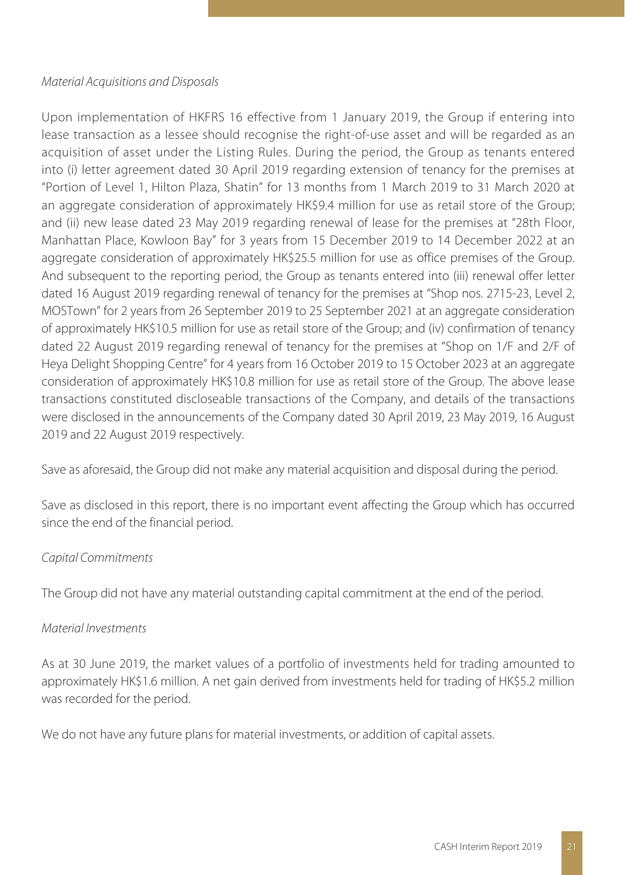#### Material Acquisitions and Disposals

Upon implementation of HKFRS 16 effective from 1 January 2019, the Group if entering into lease transaction as a lessee should recognise the right-of-use asset and will be regarded as an acquisition of asset under the Listing Rules. During the period, the Group as tenants entered into (i) letter agreement dated 30 April 2019 regarding extension of tenancy for the premises at "Portion of Level 1, Hilton Plaza, Shatin" for 13 months from 1 March 2019 to 31 March 2020 at an aggregate consideration of approximately HK\$9.4 million for use as retail store of the Group; and (ii) new lease dated 23 May 2019 regarding renewal of lease for the premises at "28th Floor, Manhattan Place, Kowloon Bay" for 3 years from 15 December 2019 to 14 December 2022 at an aggregate consideration of approximately HK\$25.5 million for use as office premises of the Group. And subsequent to the reporting period, the Group as tenants entered into (iii) renewal offer letter dated 16 August 2019 regarding renewal of tenancy for the premises at "Shop nos. 2715-23, Level 2, MOSTown" for 2 years from 26 September 2019 to 25 September 2021 at an aggregate consideration of approximately HK\$10.5 million for use as retail store of the Group; and (iv) confirmation of tenancy dated 22 August 2019 regarding renewal of tenancy for the premises at "Shop on 1/F and 2/F of Heya Delight Shopping Centre" for 4 years from 16 October 2019 to 15 October 2023 at an aggregate consideration of approximately HK\$10.8 million for use as retail store of the Group. The above lease transactions constituted discloseable transactions of the Company, and details of the transactions were disclosed in the announcements of the Company dated 30 April 2019, 23 May 2019, 16 August 2019 and 22 August 2019 respectively.

Save as aforesaid, the Group did not make any material acquisition and disposal during the period.

Save as disclosed in this report, there is no important event affecting the Group which has occurred since the end of the financial period.

### Capital Commitments

The Group did not have any material outstanding capital commitment at the end of the period.

### Material Investments

As at 30 June 2019, the market values of a portfolio of investments held for trading amounted to approximately HK\$1.6 million. A net gain derived from investments held for trading of HK\$5.2 million was recorded for the period.

We do not have any future plans for material investments, or addition of capital assets.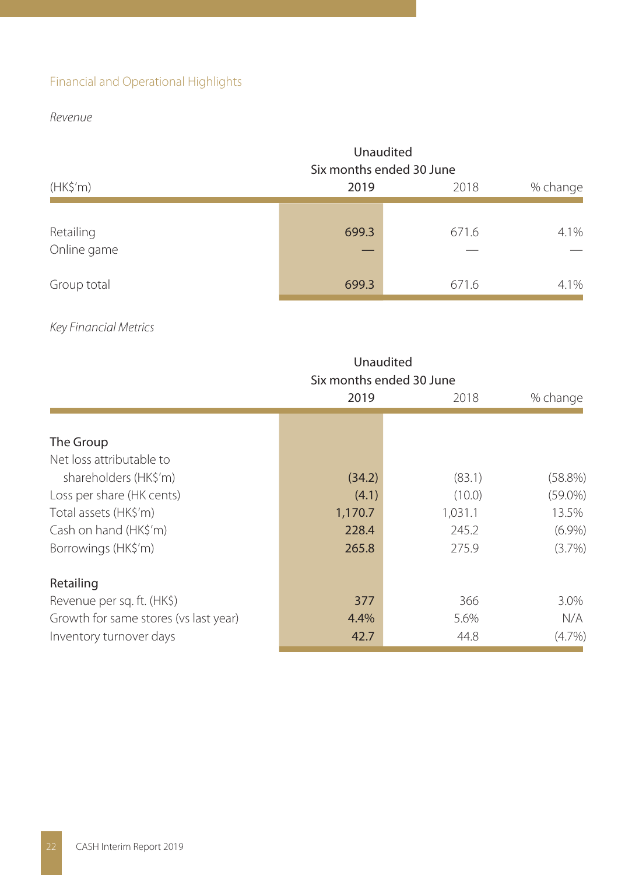# Financial and Operational Highlights

Revenue

|                          | Unaudited<br>Six months ended 30 June |       |      |  |
|--------------------------|---------------------------------------|-------|------|--|
| (HK\$'m)                 | 2019                                  | 2018  |      |  |
| Retailing<br>Online game | 699.3                                 | 671.6 | 4.1% |  |
| Group total              | 699.3                                 | 671.6 | 4.1% |  |

# Key Financial Metrics

|                                       | Unaudited<br>Six months ended 30 June |         |            |  |  |  |  |
|---------------------------------------|---------------------------------------|---------|------------|--|--|--|--|
|                                       | 2019<br>% change<br>2018              |         |            |  |  |  |  |
|                                       |                                       |         |            |  |  |  |  |
| The Group                             |                                       |         |            |  |  |  |  |
| Net loss attributable to              |                                       |         |            |  |  |  |  |
| shareholders (HK\$'m)                 | (34.2)                                | (83.1)  | $(58.8\%)$ |  |  |  |  |
| Loss per share (HK cents)             | (4.1)                                 | (10.0)  | $(59.0\%)$ |  |  |  |  |
| Total assets (HK\$'m)                 | 1,170.7                               | 1,031.1 | 13.5%      |  |  |  |  |
| Cash on hand (HK\$'m)                 | 228.4                                 | 245.2   | $(6.9\%)$  |  |  |  |  |
| Borrowings (HK\$'m)                   | 265.8                                 | 275.9   | (3.7%)     |  |  |  |  |
| Retailing                             |                                       |         |            |  |  |  |  |
| Revenue per sq. ft. (HK\$)            | 377                                   | 366     | 3.0%       |  |  |  |  |
| Growth for same stores (vs last year) | 4.4%                                  | 5.6%    | N/A        |  |  |  |  |
| Inventory turnover days               | 42.7                                  | 44.8    | (4.7%)     |  |  |  |  |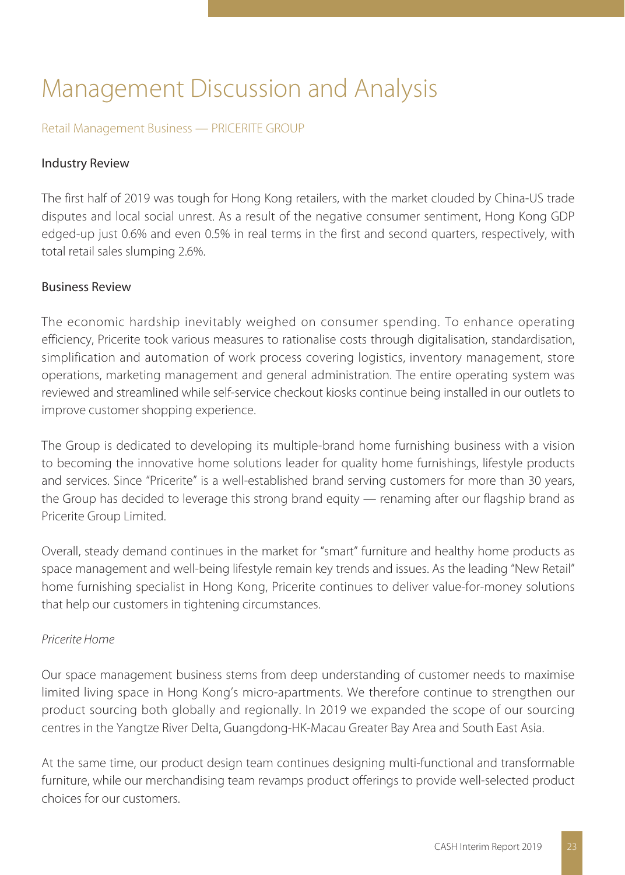# Management Discussion and Analysis

#### Retail Management Business — PRICERITE GROUP

#### Industry Review

The first half of 2019 was tough for Hong Kong retailers, with the market clouded by China-US trade disputes and local social unrest. As a result of the negative consumer sentiment, Hong Kong GDP edged-up just 0.6% and even 0.5% in real terms in the first and second quarters, respectively, with total retail sales slumping 2.6%.

#### Business Review

The economic hardship inevitably weighed on consumer spending. To enhance operating efficiency, Pricerite took various measures to rationalise costs through digitalisation, standardisation, simplification and automation of work process covering logistics, inventory management, store operations, marketing management and general administration. The entire operating system was reviewed and streamlined while self-service checkout kiosks continue being installed in our outlets to improve customer shopping experience.

The Group is dedicated to developing its multiple-brand home furnishing business with a vision to becoming the innovative home solutions leader for quality home furnishings, lifestyle products and services. Since "Pricerite" is a well-established brand serving customers for more than 30 years, the Group has decided to leverage this strong brand equity — renaming after our flagship brand as Pricerite Group Limited.

Overall, steady demand continues in the market for "smart" furniture and healthy home products as space management and well-being lifestyle remain key trends and issues. As the leading "New Retail" home furnishing specialist in Hong Kong, Pricerite continues to deliver value-for-money solutions that help our customers in tightening circumstances.

#### Pricerite Home

Our space management business stems from deep understanding of customer needs to maximise limited living space in Hong Kong's micro-apartments. We therefore continue to strengthen our product sourcing both globally and regionally. In 2019 we expanded the scope of our sourcing centres in the Yangtze River Delta, Guangdong-HK-Macau Greater Bay Area and South East Asia.

At the same time, our product design team continues designing multi-functional and transformable furniture, while our merchandising team revamps product offerings to provide well-selected product choices for our customers.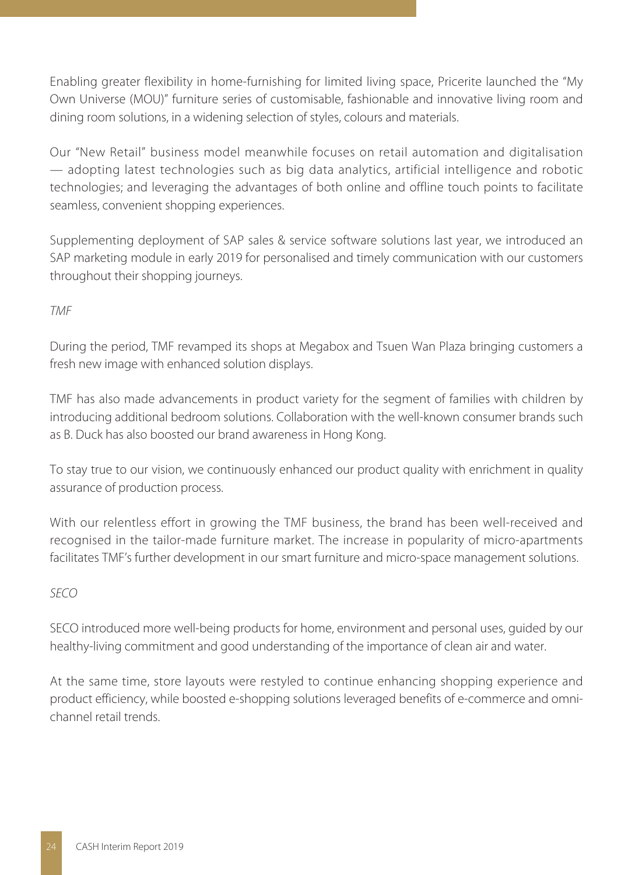Enabling greater flexibility in home-furnishing for limited living space, Pricerite launched the "My Own Universe (MOU)" furniture series of customisable, fashionable and innovative living room and dining room solutions, in a widening selection of styles, colours and materials.

Our "New Retail" business model meanwhile focuses on retail automation and digitalisation — adopting latest technologies such as big data analytics, artificial intelligence and robotic technologies; and leveraging the advantages of both online and offline touch points to facilitate seamless, convenient shopping experiences.

Supplementing deployment of SAP sales & service software solutions last year, we introduced an SAP marketing module in early 2019 for personalised and timely communication with our customers throughout their shopping journeys.

## TMF

During the period, TMF revamped its shops at Megabox and Tsuen Wan Plaza bringing customers a fresh new image with enhanced solution displays.

TMF has also made advancements in product variety for the segment of families with children by introducing additional bedroom solutions. Collaboration with the well-known consumer brands such as B. Duck has also boosted our brand awareness in Hong Kong.

To stay true to our vision, we continuously enhanced our product quality with enrichment in quality assurance of production process.

With our relentless effort in growing the TMF business, the brand has been well-received and recognised in the tailor-made furniture market. The increase in popularity of micro-apartments facilitates TMF's further development in our smart furniture and micro-space management solutions.

## SECO

SECO introduced more well-being products for home, environment and personal uses, guided by our healthy-living commitment and good understanding of the importance of clean air and water.

At the same time, store layouts were restyled to continue enhancing shopping experience and product efficiency, while boosted e-shopping solutions leveraged benefits of e-commerce and omnichannel retail trends.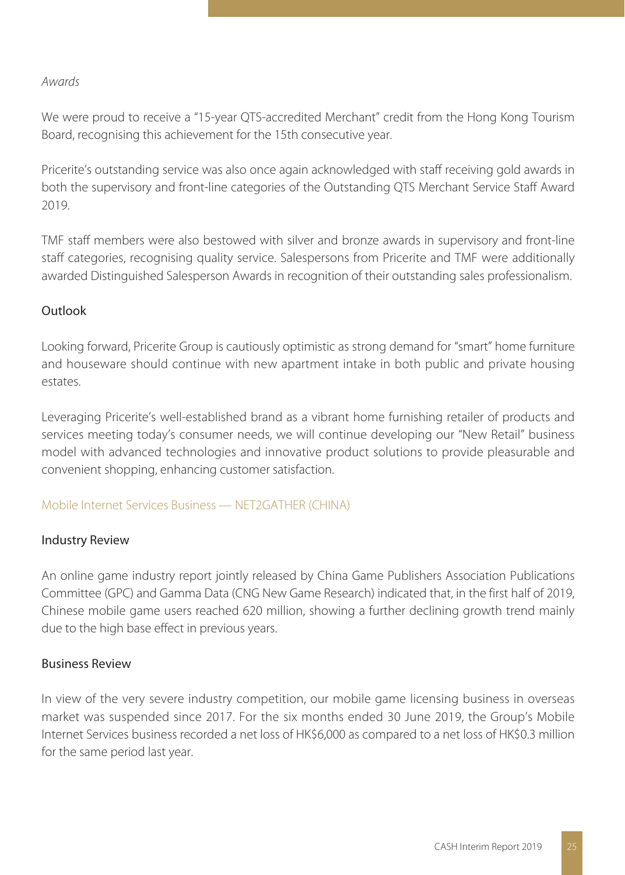### Awards

We were proud to receive a "15-year QTS-accredited Merchant" credit from the Hong Kong Tourism Board, recognising this achievement for the 15th consecutive year.

Pricerite's outstanding service was also once again acknowledged with staff receiving gold awards in both the supervisory and front-line categories of the Outstanding QTS Merchant Service Staff Award 2019.

TMF staff members were also bestowed with silver and bronze awards in supervisory and front-line staff categories, recognising quality service. Salespersons from Pricerite and TMF were additionally awarded Distinguished Salesperson Awards in recognition of their outstanding sales professionalism.

### Outlook

Looking forward, Pricerite Group is cautiously optimistic as strong demand for "smart" home furniture and houseware should continue with new apartment intake in both public and private housing estates.

Leveraging Pricerite's well-established brand as a vibrant home furnishing retailer of products and services meeting today's consumer needs, we will continue developing our "New Retail" business model with advanced technologies and innovative product solutions to provide pleasurable and convenient shopping, enhancing customer satisfaction.

### Mobile Internet Services Business — NET2GATHER (CHINA)

### Industry Review

An online game industry report jointly released by China Game Publishers Association Publications Committee (GPC) and Gamma Data (CNG New Game Research) indicated that, in the first half of 2019, Chinese mobile game users reached 620 million, showing a further declining growth trend mainly due to the high base effect in previous years.

### Business Review

In view of the very severe industry competition, our mobile game licensing business in overseas market was suspended since 2017. For the six months ended 30 June 2019, the Group's Mobile Internet Services business recorded a net loss of HK\$6,000 as compared to a net loss of HK\$0.3 million for the same period last year.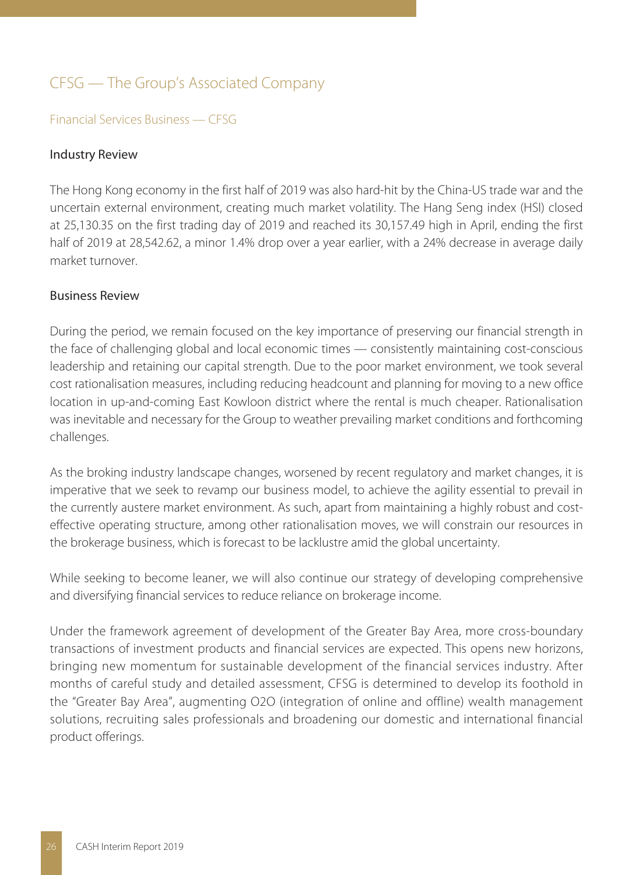# CFSG — The Group's Associated Company

#### Financial Services Business — CFSG

#### Industry Review

The Hong Kong economy in the first half of 2019 was also hard-hit by the China-US trade war and the uncertain external environment, creating much market volatility. The Hang Seng index (HSI) closed at 25,130.35 on the first trading day of 2019 and reached its 30,157.49 high in April, ending the first half of 2019 at 28,542.62, a minor 1.4% drop over a year earlier, with a 24% decrease in average daily market turnover.

#### Business Review

During the period, we remain focused on the key importance of preserving our financial strength in the face of challenging global and local economic times — consistently maintaining cost-conscious leadership and retaining our capital strength. Due to the poor market environment, we took several cost rationalisation measures, including reducing headcount and planning for moving to a new office location in up-and-coming East Kowloon district where the rental is much cheaper. Rationalisation was inevitable and necessary for the Group to weather prevailing market conditions and forthcoming challenges.

As the broking industry landscape changes, worsened by recent regulatory and market changes, it is imperative that we seek to revamp our business model, to achieve the agility essential to prevail in the currently austere market environment. As such, apart from maintaining a highly robust and costeffective operating structure, among other rationalisation moves, we will constrain our resources in the brokerage business, which is forecast to be lacklustre amid the global uncertainty.

While seeking to become leaner, we will also continue our strategy of developing comprehensive and diversifying financial services to reduce reliance on brokerage income.

Under the framework agreement of development of the Greater Bay Area, more cross-boundary transactions of investment products and financial services are expected. This opens new horizons, bringing new momentum for sustainable development of the financial services industry. After months of careful study and detailed assessment, CFSG is determined to develop its foothold in the "Greater Bay Area", augmenting O2O (integration of online and offline) wealth management solutions, recruiting sales professionals and broadening our domestic and international financial product offerings.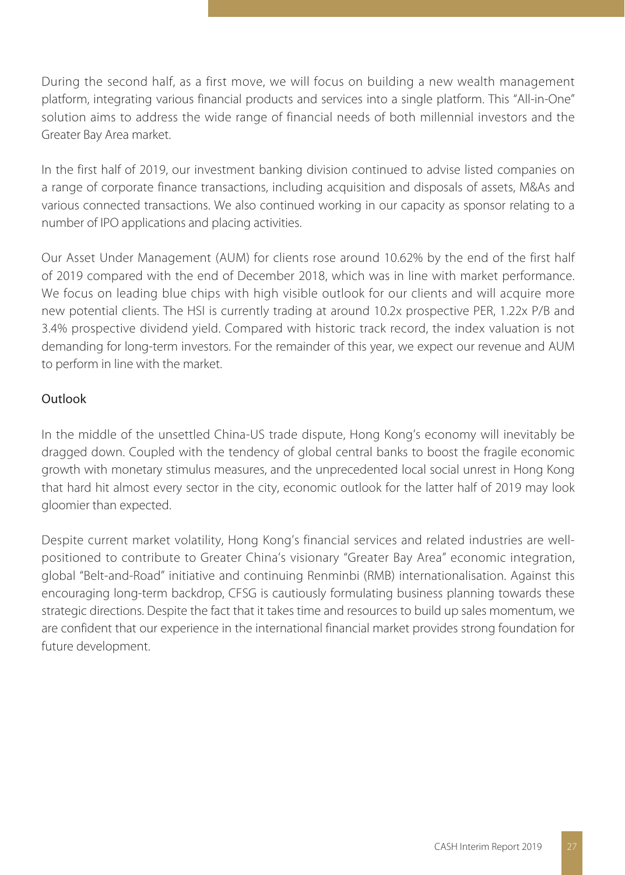During the second half, as a first move, we will focus on building a new wealth management platform, integrating various financial products and services into a single platform. This "All-in-One" solution aims to address the wide range of financial needs of both millennial investors and the Greater Bay Area market.

In the first half of 2019, our investment banking division continued to advise listed companies on a range of corporate finance transactions, including acquisition and disposals of assets, M&As and various connected transactions. We also continued working in our capacity as sponsor relating to a number of IPO applications and placing activities.

Our Asset Under Management (AUM) for clients rose around 10.62% by the end of the first half of 2019 compared with the end of December 2018, which was in line with market performance. We focus on leading blue chips with high visible outlook for our clients and will acquire more new potential clients. The HSI is currently trading at around 10.2x prospective PER, 1.22x P/B and 3.4% prospective dividend yield. Compared with historic track record, the index valuation is not demanding for long-term investors. For the remainder of this year, we expect our revenue and AUM to perform in line with the market.

## Outlook

In the middle of the unsettled China-US trade dispute, Hong Kong's economy will inevitably be dragged down. Coupled with the tendency of global central banks to boost the fragile economic growth with monetary stimulus measures, and the unprecedented local social unrest in Hong Kong that hard hit almost every sector in the city, economic outlook for the latter half of 2019 may look gloomier than expected.

Despite current market volatility, Hong Kong's financial services and related industries are wellpositioned to contribute to Greater China's visionary "Greater Bay Area" economic integration, global "Belt-and-Road" initiative and continuing Renminbi (RMB) internationalisation. Against this encouraging long-term backdrop, CFSG is cautiously formulating business planning towards these strategic directions. Despite the fact that it takes time and resources to build up sales momentum, we are confident that our experience in the international financial market provides strong foundation for future development.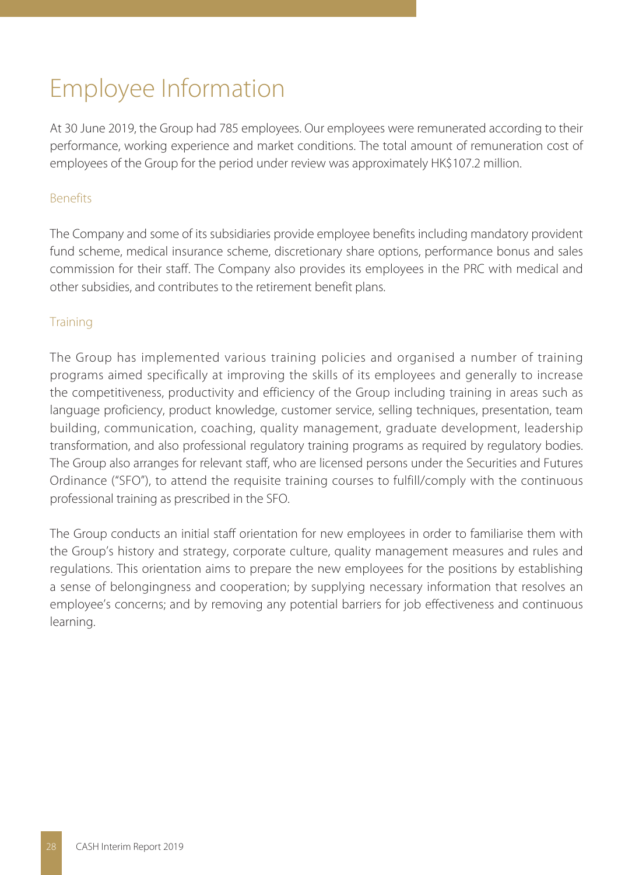# Employee Information

At 30 June 2019, the Group had 785 employees. Our employees were remunerated according to their performance, working experience and market conditions. The total amount of remuneration cost of employees of the Group for the period under review was approximately HK\$107.2 million.

## Benefits

The Company and some of its subsidiaries provide employee benefits including mandatory provident fund scheme, medical insurance scheme, discretionary share options, performance bonus and sales commission for their staff. The Company also provides its employees in the PRC with medical and other subsidies, and contributes to the retirement benefit plans.

## **Training**

The Group has implemented various training policies and organised a number of training programs aimed specifically at improving the skills of its employees and generally to increase the competitiveness, productivity and efficiency of the Group including training in areas such as language proficiency, product knowledge, customer service, selling techniques, presentation, team building, communication, coaching, quality management, graduate development, leadership transformation, and also professional regulatory training programs as required by regulatory bodies. The Group also arranges for relevant staff, who are licensed persons under the Securities and Futures Ordinance ("SFO"), to attend the requisite training courses to fulfill/comply with the continuous professional training as prescribed in the SFO.

The Group conducts an initial staff orientation for new employees in order to familiarise them with the Group's history and strategy, corporate culture, quality management measures and rules and regulations. This orientation aims to prepare the new employees for the positions by establishing a sense of belongingness and cooperation; by supplying necessary information that resolves an employee's concerns; and by removing any potential barriers for job effectiveness and continuous learning.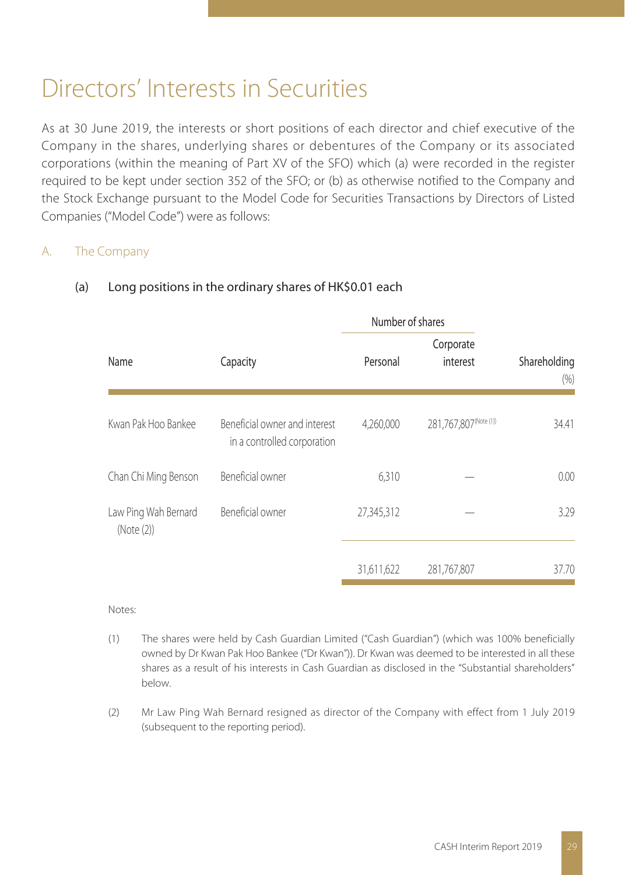# Directors' Interests in Securities

As at 30 June 2019, the interests or short positions of each director and chief executive of the Company in the shares, underlying shares or debentures of the Company or its associated corporations (within the meaning of Part XV of the SFO) which (a) were recorded in the register required to be kept under section 352 of the SFO; or (b) as otherwise notified to the Company and the Stock Exchange pursuant to the Model Code for Securities Transactions by Directors of Listed Companies ("Model Code") were as follows:

## A. The Company

|                                    |                                                              | Number of shares |                       |                     |  |
|------------------------------------|--------------------------------------------------------------|------------------|-----------------------|---------------------|--|
| Name                               | Capacity                                                     | Personal         | Corporate<br>interest | Shareholding<br>(%) |  |
| Kwan Pak Hoo Bankee                | Beneficial owner and interest<br>in a controlled corporation | 4.260.000        | 281,767,807(Note (1)) | 34.41               |  |
| Chan Chi Ming Benson               | Beneficial owner                                             | 6,310            |                       | 0.00                |  |
| Law Ping Wah Bernard<br>(Note (2)) | Beneficial owner                                             | 27,345,312       |                       | 3.29                |  |
|                                    |                                                              | 31,611,622       | 281,767,807           | 37.70               |  |

### (a) Long positions in the ordinary shares of HK\$0.01 each

Notes:

- (1) The shares were held by Cash Guardian Limited ("Cash Guardian") (which was 100% beneficially owned by Dr Kwan Pak Hoo Bankee ("Dr Kwan")). Dr Kwan was deemed to be interested in all these shares as a result of his interests in Cash Guardian as disclosed in the "Substantial shareholders" below.
- (2) Mr Law Ping Wah Bernard resigned as director of the Company with effect from 1 July 2019 (subsequent to the reporting period).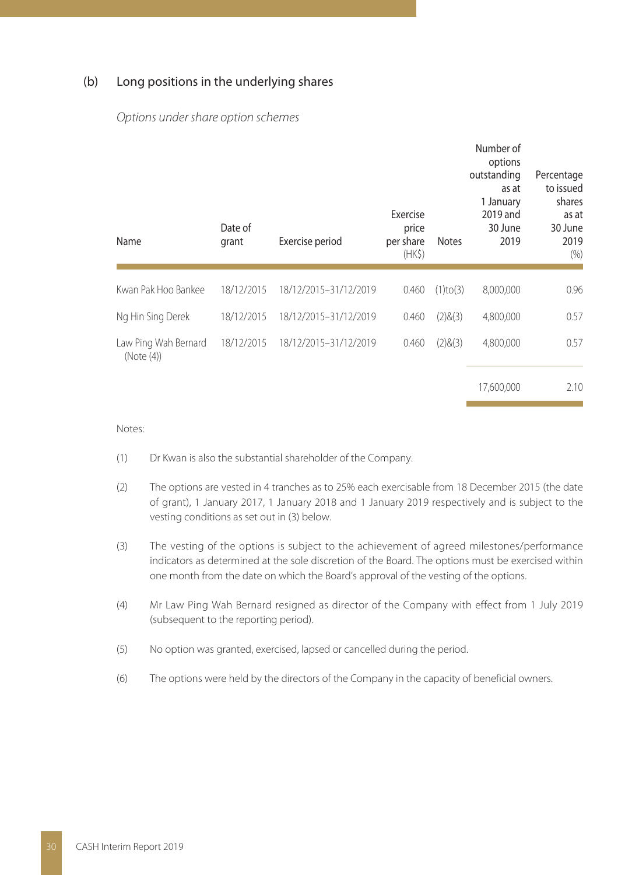#### (b) Long positions in the underlying shares

| Name                               | Date of<br>grant | Exercise period       | Exercise<br>price<br>per share<br>(HK <sub>5</sub> ) | <b>Notes</b>   | Number of<br>options<br>outstanding<br>as at<br>1 January<br>2019 and<br>30 June<br>2019 | Percentage<br>to issued<br>shares<br>as at<br>30 June<br>2019<br>(%) |
|------------------------------------|------------------|-----------------------|------------------------------------------------------|----------------|------------------------------------------------------------------------------------------|----------------------------------------------------------------------|
| Kwan Pak Hoo Bankee                | 18/12/2015       | 18/12/2015-31/12/2019 | 0.460                                                | $(1)$ to $(3)$ | 8,000,000                                                                                | 0.96                                                                 |
|                                    |                  |                       |                                                      |                |                                                                                          |                                                                      |
| Ng Hin Sing Derek                  | 18/12/2015       | 18/12/2015-31/12/2019 | 0.460                                                | (2)8(3)        | 4,800,000                                                                                | 0.57                                                                 |
| Law Ping Wah Bernard<br>(Note (4)) | 18/12/2015       | 18/12/2015-31/12/2019 | 0.460                                                | (2)8(3)        | 4,800,000                                                                                | 0.57                                                                 |
|                                    |                  |                       |                                                      |                | 17,600,000                                                                               | 2.10                                                                 |

#### Options under share option schemes

#### Notes:

- (1) Dr Kwan is also the substantial shareholder of the Company.
- (2) The options are vested in 4 tranches as to 25% each exercisable from 18 December 2015 (the date of grant), 1 January 2017, 1 January 2018 and 1 January 2019 respectively and is subject to the vesting conditions as set out in (3) below.
- (3) The vesting of the options is subject to the achievement of agreed milestones/performance indicators as determined at the sole discretion of the Board. The options must be exercised within one month from the date on which the Board's approval of the vesting of the options.
- (4) Mr Law Ping Wah Bernard resigned as director of the Company with effect from 1 July 2019 (subsequent to the reporting period).
- (5) No option was granted, exercised, lapsed or cancelled during the period.
- (6) The options were held by the directors of the Company in the capacity of beneficial owners.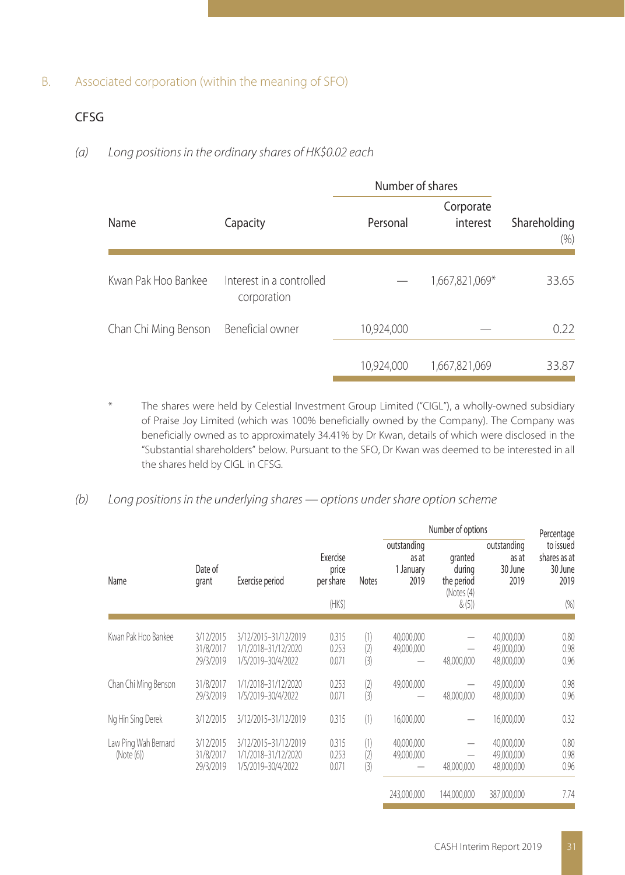### B. Associated corporation (within the meaning of SFO)

## CFSG

### (a) Long positions in the ordinary shares of HK\$0.02 each

|                      |                                         | Number of shares |                       |                      |
|----------------------|-----------------------------------------|------------------|-----------------------|----------------------|
| Name                 | Capacity                                | Personal         | Corporate<br>interest | Shareholding<br>(% ) |
| Kwan Pak Hoo Bankee  | Interest in a controlled<br>corporation |                  | 1,667,821,069*        | 33.65                |
| Chan Chi Ming Benson | Beneficial owner                        | 10,924,000       |                       | 0.22                 |
|                      |                                         | 10,924,000       | 1,667,821,069         | 33.87                |

The shares were held by Celestial Investment Group Limited ("CIGL"), a wholly-owned subsidiary of Praise Joy Limited (which was 100% beneficially owned by the Company). The Company was beneficially owned as to approximately 34.41% by Dr Kwan, details of which were disclosed in the "Substantial shareholders" below. Pursuant to the SFO, Dr Kwan was deemed to be interested in all the shares held by CIGL in CFSG.

## (b) Long positions in the underlying shares — options under share option scheme

|                                    |                                     | Exercise period                                                   |                                          |                   |                                           | Number of options                                       |                                         | Percentage                                           |
|------------------------------------|-------------------------------------|-------------------------------------------------------------------|------------------------------------------|-------------------|-------------------------------------------|---------------------------------------------------------|-----------------------------------------|------------------------------------------------------|
| Name                               | Date of<br>grant                    |                                                                   | Exercise<br>price<br>per share<br>(HK\$) | <b>Notes</b>      | outstanding<br>as at<br>1 January<br>2019 | granted<br>during<br>the period<br>(Notes (4)<br>& (5)) | outstanding<br>as at<br>30 June<br>2019 | to issued<br>shares as at<br>30 June<br>2019<br>(96) |
|                                    |                                     |                                                                   |                                          |                   |                                           |                                                         |                                         |                                                      |
| Kwan Pak Hoo Bankee                | 3/12/2015<br>31/8/2017<br>29/3/2019 | 3/12/2015-31/12/2019<br>1/1/2018-31/12/2020<br>1/5/2019-30/4/2022 | 0.315<br>0.253<br>0.071                  | (1)<br>(2)<br>(3) | 40,000,000<br>49,000,000                  | 48,000,000                                              | 40.000.000<br>49,000,000<br>48,000,000  | 0.80<br>0.98<br>0.96                                 |
| Chan Chi Ming Benson               | 31/8/2017<br>29/3/2019              | 1/1/2018-31/12/2020<br>1/5/2019-30/4/2022                         | 0.253<br>0.071                           | (2)<br>(3)        | 49,000,000                                | 48,000,000                                              | 49,000,000<br>48,000,000                | 0.98<br>0.96                                         |
| Ng Hin Sing Derek                  | 3/12/2015                           | 3/12/2015-31/12/2019                                              | 0.315                                    | (1)               | 16,000,000                                |                                                         | 16,000,000                              | 0.32                                                 |
| Law Ping Wah Bernard<br>(Note (6)) | 3/12/2015<br>31/8/2017<br>29/3/2019 | 3/12/2015-31/12/2019<br>1/1/2018-31/12/2020<br>1/5/2019-30/4/2022 | 0.315<br>0.253<br>0.071                  | (1)<br>(2)<br>(3) | 40,000,000<br>49,000,000                  | -<br>48,000,000                                         | 40,000,000<br>49.000.000<br>48,000,000  | 0.80<br>0.98<br>0.96                                 |
|                                    |                                     |                                                                   |                                          |                   | 243.000.000                               | 144.000.000                                             | 387,000,000                             | 7.74                                                 |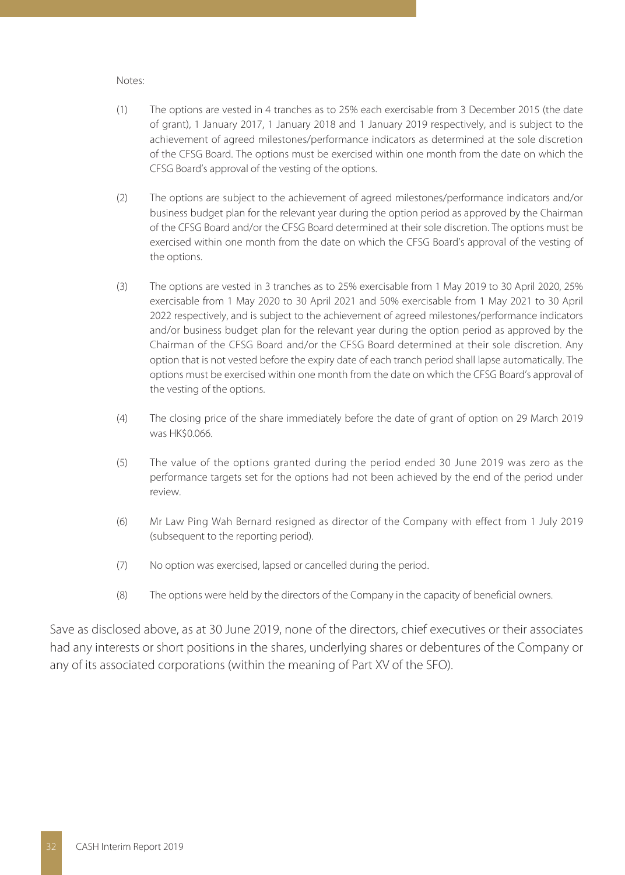#### Notes:

- (1) The options are vested in 4 tranches as to 25% each exercisable from 3 December 2015 (the date of grant), 1 January 2017, 1 January 2018 and 1 January 2019 respectively, and is subject to the achievement of agreed milestones/performance indicators as determined at the sole discretion of the CFSG Board. The options must be exercised within one month from the date on which the CFSG Board's approval of the vesting of the options.
- (2) The options are subject to the achievement of agreed milestones/performance indicators and/or business budget plan for the relevant year during the option period as approved by the Chairman of the CFSG Board and/or the CFSG Board determined at their sole discretion. The options must be exercised within one month from the date on which the CFSG Board's approval of the vesting of the options.
- (3) The options are vested in 3 tranches as to 25% exercisable from 1 May 2019 to 30 April 2020, 25% exercisable from 1 May 2020 to 30 April 2021 and 50% exercisable from 1 May 2021 to 30 April 2022 respectively, and is subject to the achievement of agreed milestones/performance indicators and/or business budget plan for the relevant year during the option period as approved by the Chairman of the CFSG Board and/or the CFSG Board determined at their sole discretion. Any option that is not vested before the expiry date of each tranch period shall lapse automatically. The options must be exercised within one month from the date on which the CFSG Board's approval of the vesting of the options.
- (4) The closing price of the share immediately before the date of grant of option on 29 March 2019 was HK\$0.066.
- (5) The value of the options granted during the period ended 30 June 2019 was zero as the performance targets set for the options had not been achieved by the end of the period under review.
- (6) Mr Law Ping Wah Bernard resigned as director of the Company with effect from 1 July 2019 (subsequent to the reporting period).
- (7) No option was exercised, lapsed or cancelled during the period.
- (8) The options were held by the directors of the Company in the capacity of beneficial owners.

Save as disclosed above, as at 30 June 2019, none of the directors, chief executives or their associates had any interests or short positions in the shares, underlying shares or debentures of the Company or any of its associated corporations (within the meaning of Part XV of the SFO).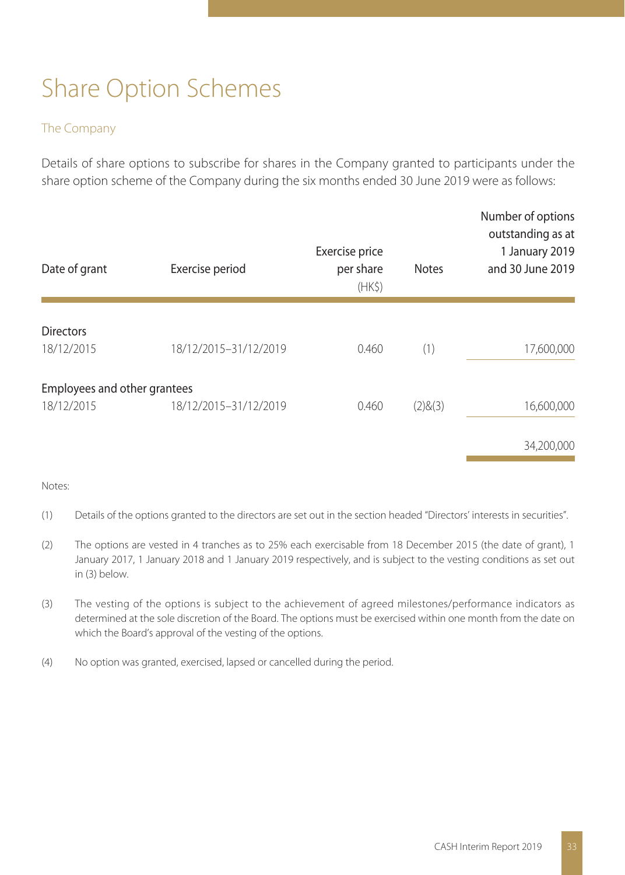# Share Option Schemes

#### The Company

Details of share options to subscribe for shares in the Company granted to participants under the share option scheme of the Company during the six months ended 30 June 2019 were as follows:

| Date of grant                | Exercise period       | Exercise price<br>per share<br>(HK <sub>5</sub> ) | <b>Notes</b> | Number of options<br>outstanding as at<br>1 January 2019<br>and 30 June 2019 |
|------------------------------|-----------------------|---------------------------------------------------|--------------|------------------------------------------------------------------------------|
| <b>Directors</b>             |                       |                                                   |              |                                                                              |
| 18/12/2015                   | 18/12/2015-31/12/2019 | 0.460                                             | (1)          | 17,600,000                                                                   |
| Employees and other grantees |                       |                                                   |              |                                                                              |
| 18/12/2015                   | 18/12/2015-31/12/2019 | 0.460                                             | (2)8(3)      | 16,600,000                                                                   |
|                              |                       |                                                   |              | 34,200,000                                                                   |

#### Notes:

- (1) Details of the options granted to the directors are set out in the section headed "Directors' interests in securities".
- (2) The options are vested in 4 tranches as to 25% each exercisable from 18 December 2015 (the date of grant), 1 January 2017, 1 January 2018 and 1 January 2019 respectively, and is subject to the vesting conditions as set out in (3) below.
- (3) The vesting of the options is subject to the achievement of agreed milestones/performance indicators as determined at the sole discretion of the Board. The options must be exercised within one month from the date on which the Board's approval of the vesting of the options.
- (4) No option was granted, exercised, lapsed or cancelled during the period.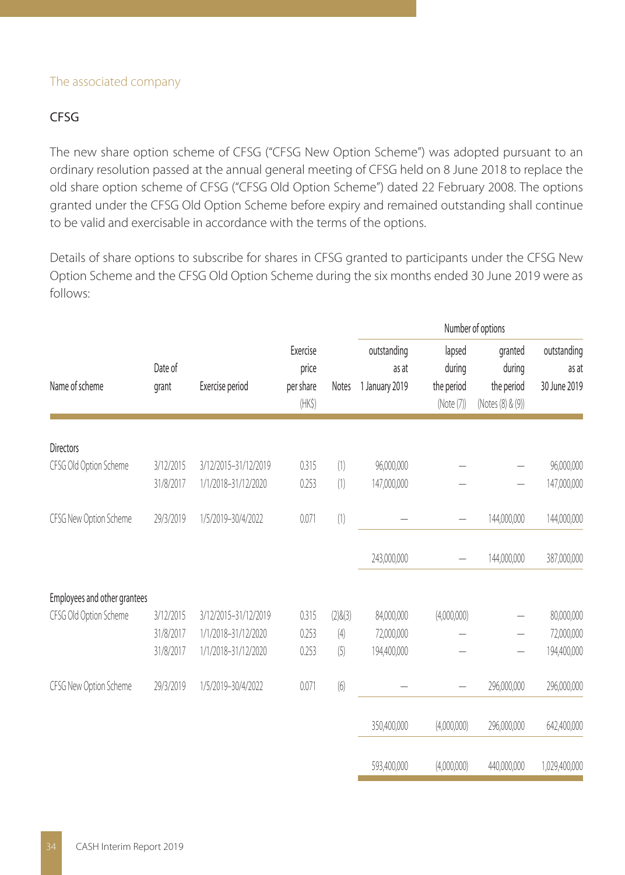#### The associated company

### CFSG

The new share option scheme of CFSG ("CFSG New Option Scheme") was adopted pursuant to an ordinary resolution passed at the annual general meeting of CFSG held on 8 June 2018 to replace the old share option scheme of CFSG ("CFSG Old Option Scheme") dated 22 February 2008. The options granted under the CFSG Old Option Scheme before expiry and remained outstanding shall continue to be valid and exercisable in accordance with the terms of the options.

Details of share options to subscribe for shares in CFSG granted to participants under the CFSG New Option Scheme and the CFSG Old Option Scheme during the six months ended 30 June 2019 were as follows:

|                              |                  |                      |                                               |               | Number of options                      |                                              |                                                      |                                      |
|------------------------------|------------------|----------------------|-----------------------------------------------|---------------|----------------------------------------|----------------------------------------------|------------------------------------------------------|--------------------------------------|
| Name of scheme               | Date of<br>grant | Exercise period      | Exercise<br>price<br>per share<br>$(HK\zeta)$ | Notes         | outstanding<br>as at<br>1 January 2019 | lapsed<br>during<br>the period<br>(Note (7)) | granted<br>during<br>the period<br>(Notes (8) & (9)) | outstanding<br>as at<br>30 June 2019 |
| <b>Directors</b>             |                  |                      |                                               |               |                                        |                                              |                                                      |                                      |
| CFSG Old Option Scheme       | 3/12/2015        | 3/12/2015-31/12/2019 | 0.315                                         | (1)           | 96,000,000                             |                                              |                                                      | 96,000,000                           |
|                              | 31/8/2017        | 1/1/2018-31/12/2020  | 0.253                                         | (1)           | 147,000,000                            |                                              |                                                      | 147,000,000                          |
| CFSG New Option Scheme       | 29/3/2019        | 1/5/2019-30/4/2022   | 0.071                                         | (1)           |                                        |                                              | 144,000,000                                          | 144,000,000                          |
|                              |                  |                      |                                               |               | 243,000,000                            |                                              | 144,000,000                                          | 387,000,000                          |
| Employees and other grantees |                  |                      |                                               |               |                                        |                                              |                                                      |                                      |
| CFSG Old Option Scheme       | 3/12/2015        | 3/12/2015-31/12/2019 | 0.315                                         | $(2)$ & $(3)$ | 84,000,000                             | (4,000,000)                                  |                                                      | 80,000,000                           |
|                              | 31/8/2017        | 1/1/2018-31/12/2020  | 0.253                                         | (4)           | 72,000,000                             |                                              |                                                      | 72,000,000                           |
|                              | 31/8/2017        | 1/1/2018-31/12/2020  | 0.253                                         | (5)           | 194,400,000                            |                                              |                                                      | 194,400,000                          |
| CFSG New Option Scheme       | 29/3/2019        | 1/5/2019-30/4/2022   | 0.071                                         | (6)           |                                        |                                              | 296,000,000                                          | 296,000,000                          |
|                              |                  |                      |                                               |               | 350,400,000                            | (4,000,000)                                  | 296,000,000                                          | 642,400,000                          |
|                              |                  |                      |                                               |               | 593,400,000                            | (4,000,000)                                  | 440,000,000                                          | 1,029,400,000                        |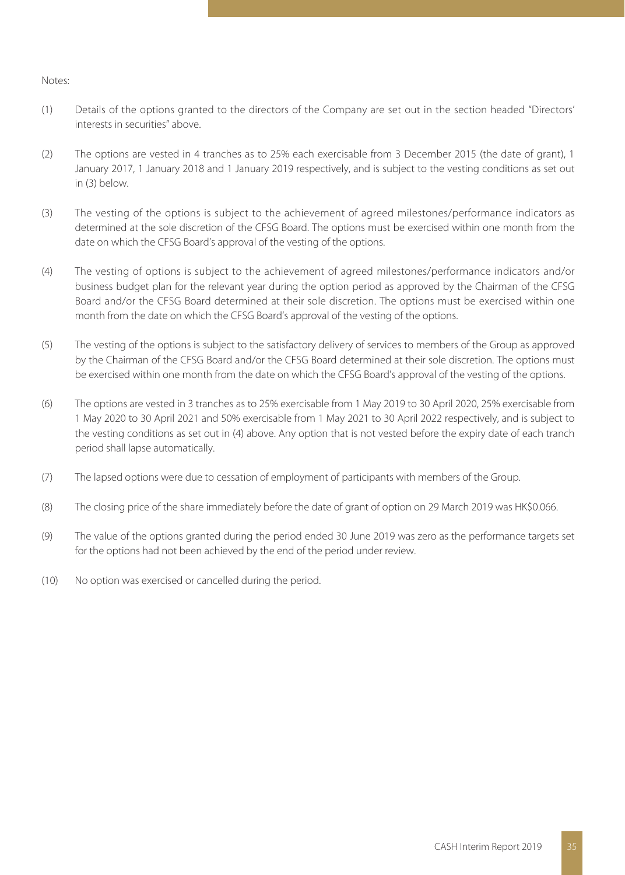#### Notes:

- (1) Details of the options granted to the directors of the Company are set out in the section headed "Directors' interests in securities" above.
- (2) The options are vested in 4 tranches as to 25% each exercisable from 3 December 2015 (the date of grant), 1 January 2017, 1 January 2018 and 1 January 2019 respectively, and is subject to the vesting conditions as set out in (3) below.
- (3) The vesting of the options is subject to the achievement of agreed milestones/performance indicators as determined at the sole discretion of the CFSG Board. The options must be exercised within one month from the date on which the CFSG Board's approval of the vesting of the options.
- (4) The vesting of options is subject to the achievement of agreed milestones/performance indicators and/or business budget plan for the relevant year during the option period as approved by the Chairman of the CFSG Board and/or the CFSG Board determined at their sole discretion. The options must be exercised within one month from the date on which the CFSG Board's approval of the vesting of the options.
- (5) The vesting of the options is subject to the satisfactory delivery of services to members of the Group as approved by the Chairman of the CFSG Board and/or the CFSG Board determined at their sole discretion. The options must be exercised within one month from the date on which the CFSG Board's approval of the vesting of the options.
- (6) The options are vested in 3 tranches as to 25% exercisable from 1 May 2019 to 30 April 2020, 25% exercisable from 1 May 2020 to 30 April 2021 and 50% exercisable from 1 May 2021 to 30 April 2022 respectively, and is subject to the vesting conditions as set out in (4) above. Any option that is not vested before the expiry date of each tranch period shall lapse automatically.
- (7) The lapsed options were due to cessation of employment of participants with members of the Group.
- (8) The closing price of the share immediately before the date of grant of option on 29 March 2019 was HK\$0.066.
- (9) The value of the options granted during the period ended 30 June 2019 was zero as the performance targets set for the options had not been achieved by the end of the period under review.
- (10) No option was exercised or cancelled during the period.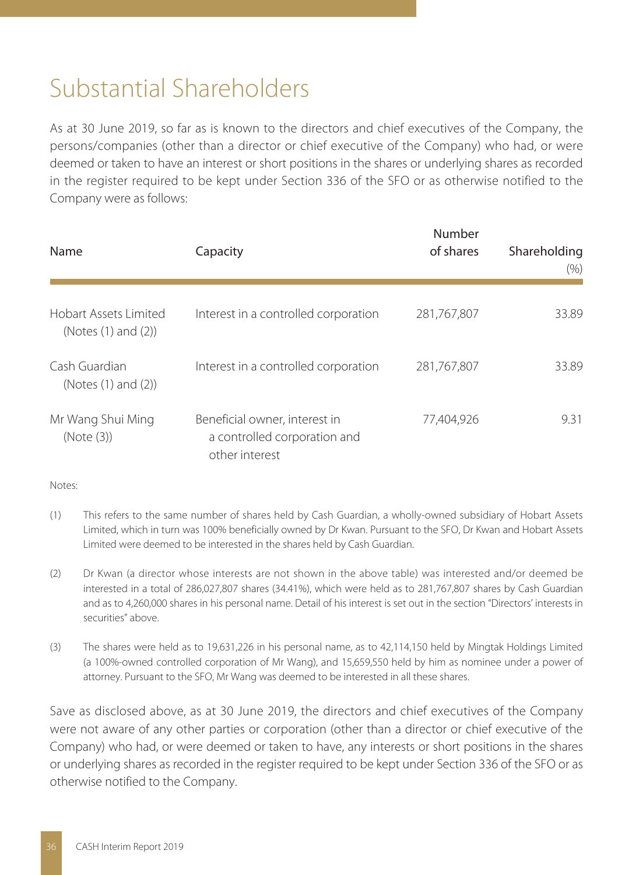# Substantial Shareholders

As at 30 June 2019, so far as is known to the directors and chief executives of the Company, the persons/companies (other than a director or chief executive of the Company) who had, or were deemed or taken to have an interest or short positions in the shares or underlying shares as recorded in the register required to be kept under Section 336 of the SFO or as otherwise notified to the Company were as follows:

| Name                                         | Capacity                                                                        | Number<br>of shares | Shareholding<br>(% ) |  |
|----------------------------------------------|---------------------------------------------------------------------------------|---------------------|----------------------|--|
| Hobart Assets Limited<br>(Notes (1) and (2)) | Interest in a controlled corporation                                            | 281,767,807         | 33.89                |  |
| Cash Guardian<br>(Notes (1) and (2))         | Interest in a controlled corporation                                            | 281,767,807         | 33.89                |  |
| Mr Wang Shui Ming<br>(Note (3))              | Beneficial owner, interest in<br>a controlled corporation and<br>other interest | 77.404.926          | 9.31                 |  |

Notes:

- (1) This refers to the same number of shares held by Cash Guardian, a wholly-owned subsidiary of Hobart Assets Limited, which in turn was 100% beneficially owned by Dr Kwan. Pursuant to the SFO, Dr Kwan and Hobart Assets Limited were deemed to be interested in the shares held by Cash Guardian.
- (2) Dr Kwan (a director whose interests are not shown in the above table) was interested and/or deemed be interested in a total of 286,027,807 shares (34.41%), which were held as to 281,767,807 shares by Cash Guardian and as to 4,260,000 shares in his personal name. Detail of his interest is set out in the section "Directors' interests in securities" above.
- (3) The shares were held as to 19,631,226 in his personal name, as to 42,114,150 held by Mingtak Holdings Limited (a 100%-owned controlled corporation of Mr Wang), and 15,659,550 held by him as nominee under a power of attorney. Pursuant to the SFO, Mr Wang was deemed to be interested in all these shares.

Save as disclosed above, as at 30 June 2019, the directors and chief executives of the Company were not aware of any other parties or corporation (other than a director or chief executive of the Company) who had, or were deemed or taken to have, any interests or short positions in the shares or underlying shares as recorded in the register required to be kept under Section 336 of the SFO or as otherwise notified to the Company.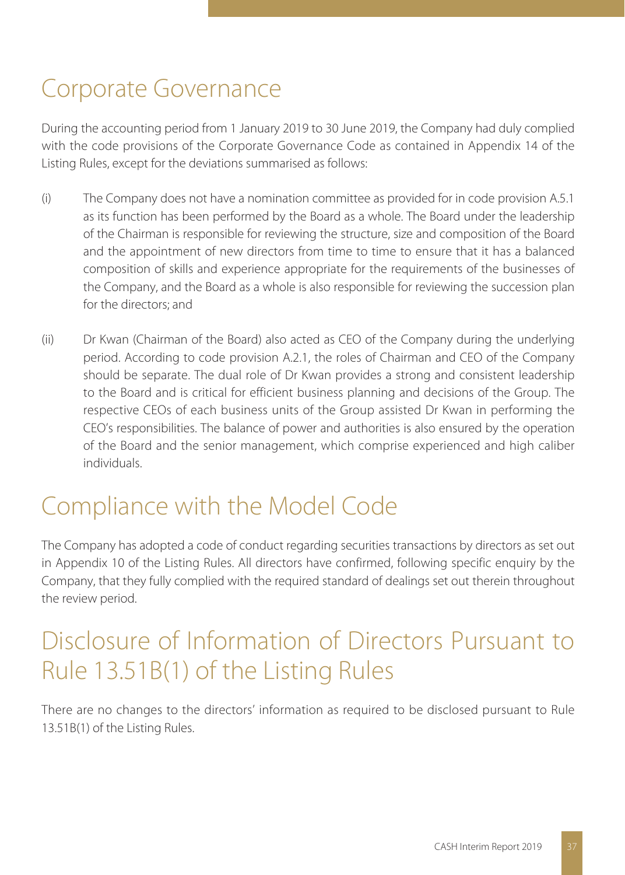# Corporate Governance

During the accounting period from 1 January 2019 to 30 June 2019, the Company had duly complied with the code provisions of the Corporate Governance Code as contained in Appendix 14 of the Listing Rules, except for the deviations summarised as follows:

- (i) The Company does not have a nomination committee as provided for in code provision A.5.1 as its function has been performed by the Board as a whole. The Board under the leadership of the Chairman is responsible for reviewing the structure, size and composition of the Board and the appointment of new directors from time to time to ensure that it has a balanced composition of skills and experience appropriate for the requirements of the businesses of the Company, and the Board as a whole is also responsible for reviewing the succession plan for the directors; and
- (ii) Dr Kwan (Chairman of the Board) also acted as CEO of the Company during the underlying period. According to code provision A.2.1, the roles of Chairman and CEO of the Company should be separate. The dual role of Dr Kwan provides a strong and consistent leadership to the Board and is critical for efficient business planning and decisions of the Group. The respective CEOs of each business units of the Group assisted Dr Kwan in performing the CEO's responsibilities. The balance of power and authorities is also ensured by the operation of the Board and the senior management, which comprise experienced and high caliber individuals.

# Compliance with the Model Code

The Company has adopted a code of conduct regarding securities transactions by directors as set out in Appendix 10 of the Listing Rules. All directors have confirmed, following specific enquiry by the Company, that they fully complied with the required standard of dealings set out therein throughout the review period.

# Disclosure of Information of Directors Pursuant to Rule 13.51B(1) of the Listing Rules

There are no changes to the directors' information as required to be disclosed pursuant to Rule 13.51B(1) of the Listing Rules.